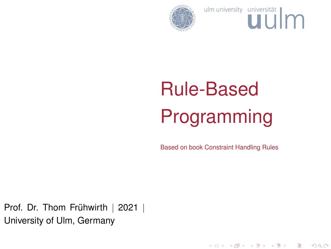<span id="page-0-0"></span>

ulm university universität

# Rule-Based Programming

Based on book Constraint Handling Rules

メロト メタト メミト メミト

重

 $2Q$ 

Prof. Dr. Thom Frühwirth | 2021 | University of Ulm, Germany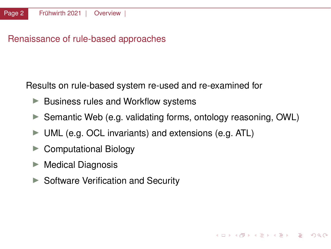Renaissance of rule-based approaches

Results on rule-based system re-used and re-examined for

- $\blacktriangleright$  Business rules and Workflow systems
- ▶ Semantic Web (e.g. validating forms, ontology reasoning. OWL)

KOD KAP KED KED E YAN

- $\blacktriangleright$  UML (e.g. OCL invariants) and extensions (e.g. ATL)
- $\blacktriangleright$  Computational Biology
- $\blacktriangleright$  Medical Diagnosis
- $\triangleright$  Software Verification and Security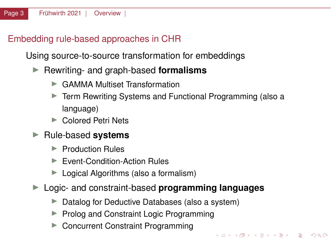# <span id="page-2-0"></span>Embedding rule-based approaches in CHR

Using source-to-source transformation for embeddings

- ▶ Rewriting- and graph-based **formalisms** 
	- ▶ GAMMA Multiset Transformation
	- Term Rewriting Systems and Functional Programming (also a language)

KED KARD KED KED A BLADA

- ▶ Colored Petri Nets
- ▶ Rule-based **systems** 
	- $\blacktriangleright$  Production Rules
	- ▶ Event-Condition-Action Rules
	- $\blacktriangleright$  Logical Algorithms (also a formalism)
- ▶ Logic- and constraint-based **programming languages** 
	- $\triangleright$  Datalog for Deductive Databases (also a system)
	- ▶ Prolog and Constraint Logic Programming
	- ▶ Concurrent Constraint Programming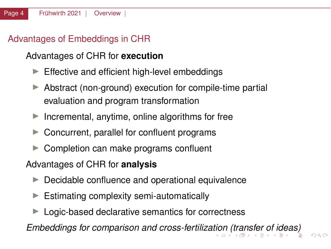# <span id="page-3-0"></span>Advantages of Embeddings in CHR

# Advantages of CHR for **execution**

- $\blacktriangleright$  Effective and efficient high-level embeddings
- $\triangleright$  Abstract (non-ground) execution for compile-time partial evaluation and program transformation
- Incremental, anytime, online algorithms for free
- $\blacktriangleright$  Concurrent, parallel for confluent programs
- $\triangleright$  Completion can make programs confluent

#### Advantages of CHR for **analysis**

- $\blacktriangleright$  Decidable confluence and operational equivalence
- $\blacktriangleright$  Estimating complexity semi-automatically
- $\blacktriangleright$  Logic-based declarative semantics for correctness

*Embeddings for comparison and cross-fertiliza[tio](#page-2-0)[n \(](#page-4-0)[tr](#page-2-0)[an](#page-3-0)[s](#page-4-0)[fe](#page-0-0)[r](#page-39-0) [o](#page-40-0)[f id](#page-0-0)[e](#page-143-0)[as\)](#page-0-0)*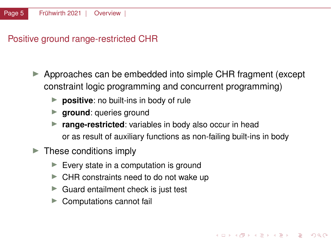<span id="page-4-0"></span>Positive ground range-restricted CHR

- I Approaches can be embedded into simple CHR fragment (except constraint logic programming and concurrent programming)
	- **P positive**: no built-ins in body of rule
	- **In ground**: queries ground
	- **P** range-restricted: variables in body also occur in head or as result of auxiliary functions as non-failing built-ins in body

KED KARD KED KED A BLADA

- $\blacktriangleright$  These conditions imply
	- $\blacktriangleright$  Every state in a computation is ground
	- $\blacktriangleright$  CHR constraints need to do not wake up
	- $\blacktriangleright$  Guard entailment check is just test
	- Computations cannot fail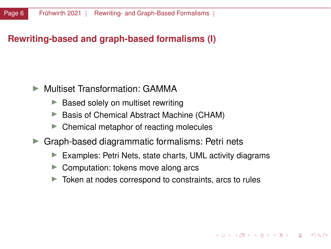# **Rewriting-based and graph-based formalisms (I)**

- ▶ Multiset Transformation: GAMMA
	- $\blacktriangleright$  Based solely on multiset rewriting
	- ▶ Basis of Chemical Abstract Machine (CHAM)
	- $\triangleright$  Chemical metaphor of reacting molecules
- Graph-based diagrammatic formalisms: Petri nets
	- $\blacktriangleright$  Examples: Petri Nets, state charts, UML activity diagrams
	- $\triangleright$  Computation: tokens move along arcs
	- $\triangleright$  Token at nodes correspond to constraints, arcs to rules

 $(0 \times 10^6) \times 10^6$ 

 $\Omega$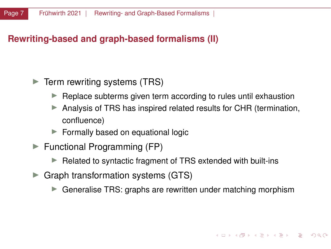# **Rewriting-based and graph-based formalisms (II)**

#### $\blacktriangleright$  Term rewriting systems (TRS)

- $\blacktriangleright$  Replace subterms given term according to rules until exhaustion
- Analysis of TRS has inspired related results for CHR (termination, confluence)
- $\blacktriangleright$  Formally based on equational logic
- $\blacktriangleright$  Functional Programming (FP)
	- $\blacktriangleright$  Related to syntactic fragment of TRS extended with built-ins
- $\triangleright$  Graph transformation systems (GTS)
	- $\triangleright$  Generalise TRS: graphs are rewritten under matching morphism

KO KARA KE KE KE YA GA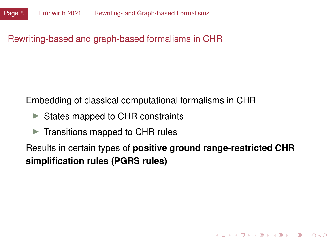Rewriting-based and graph-based formalisms in CHR

Embedding of classical computational formalisms in CHR

- $\triangleright$  States mapped to CHR constraints
- $\blacktriangleright$  Transitions mapped to CHR rules

Results in certain types of **positive ground range-restricted CHR simplification rules (PGRS rules)**

KED KARD KED KED A BLADA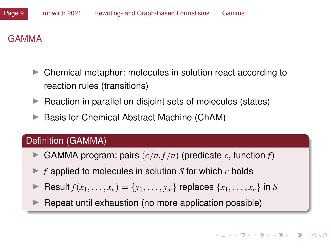# GAMMA

- $\triangleright$  Chemical metaphor: molecules in solution react according to reaction rules (transitions)
- $\blacktriangleright$  Reaction in parallel on disjoint sets of molecules (states)
- Basis for Chemical Abstract Machine (ChAM)

# Definition (GAMMA)

- GAMMA program: pairs  $(c/n, f/n)$  (predicate *c*, function *f*)
- $\blacktriangleright$  *f* applied to molecules in solution *S* for which *c* holds
- Result  $f(x_1, \ldots, x_n) = \{y_1, \ldots, y_m\}$  replaces  $\{x_1, \ldots, x_n\}$  in *S*
- Repeat until exhaustion (no more application possible)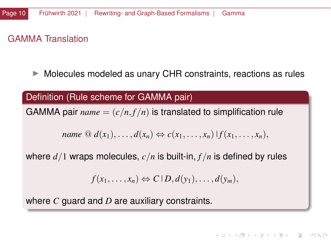#### GAMMA Translation

 $\triangleright$  Molecules modeled as unary CHR constraints, reactions as rules

#### Definition (Rule scheme for GAMMA pair)

GAMMA pair  $name = (c/n, f/n)$  is translated to simplification rule

$$
name \t\t@ d(x_1), \ldots, d(x_n) \Leftrightarrow c(x_1, \ldots, x_n) \mid f(x_1, \ldots, x_n),
$$

where *d*/1 wraps molecules, *c*/*n* is built-in, *f* /*n* is defined by rules

$$
f(x_1,\ldots,x_n)\Leftrightarrow C\,|\,D,d(y_1),\ldots,d(y_m),
$$

where *C* guard and *D* are auxiliary constraints.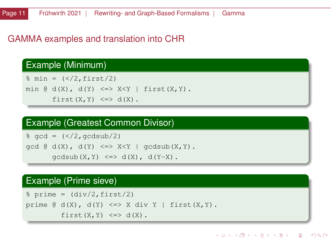#### GAMMA examples and translation into CHR

#### Example (Minimum)

```
% min = (<2, first/2)min \mathfrak{G} d(X), d(Y) <=> X<Y | first(X,Y).
       first(X, Y) \leq > d(X).
```
#### Example (Greatest Common Divisor)

```
\text{gcd} = (\frac{\langle 2, \text{qcdsub}}{2})gcd \theta d(X), d(Y) \iff X \leq Y \mid gcdsub(X, Y).
         \alphacdsub(X, Y) \leq y d(X), d(Y-X).
```
#### Example (Prime sieve)

 $s$  prime =  $\frac{div}{2}$ , first/2) prime  $\theta$  d(X), d(Y)  $\Leftarrow$  X div Y | first(X,Y). first $(X, Y) \leq > d(X)$ .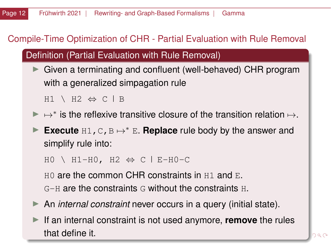# Compile-Time Optimization of CHR - Partial Evaluation with Rule Removal

Definition (Partial Evaluation with Rule Removal)

 $\triangleright$  Given a terminating and confluent (well-behaved) CHR program with a generalized simpagation rule

 $H1 \vee H2 \Leftrightarrow C \vdash B$ 

- ►  $\mapsto^*$  is the reflexive transitive closure of the transition relation  $\mapsto$ .
- **Execute** H1, C, B  $\mapsto$  \* E. **Replace** rule body by the answer and simplify rule into:

 $HO \setminus H1-H0$ ,  $H2 \Leftrightarrow C \mid E-H0-C$ 

 $H0$  are the common CHR constraints in H<sub>1</sub> and E.  $G-H$  are the constraints G without the constraints  $H$ .

- ▶ An *internal constraint* never occurs in a query (initial state).
- If an internal constraint is not used anymore, **remove** the rules that define it.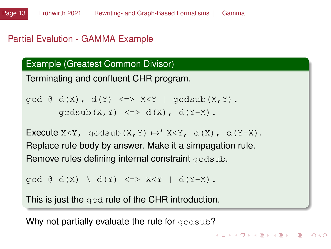#### Partial Evalution - GAMMA Example

Example (Greatest Common Divisor)

Terminating and confluent CHR program.

```
\text{gcd } @d(X), d(Y) \iff X \leq Y \text{ } \text{ } q \text{cdsub}(X, Y).qcdsub(X, Y) \leq > d(X), d(Y-X).
```

```
Execute X \leq Y, gcdsub(X, Y) \mapsto * X\leq Y, d(X), d(Y-X).
Replace rule body by answer. Make it a simpagation rule.
Remove rules defining internal constraint gedsub.
```
**KORK CREAKER DE VOOR** 

```
\text{gcd } \mathfrak{g} \text{ d}(X) \setminus \text{ d}(Y) \iff X \leq Y \mid d(Y-X).
```
This is just the  $qcd$  rule of the CHR introduction.

Why not partially evaluate the rule for gcdsub?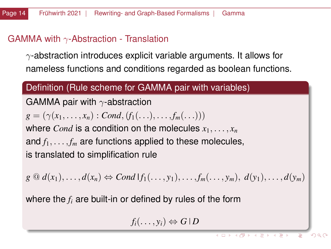#### GAMMA with  $\gamma$ -Abstraction - Translation

 $\gamma$ -abstraction introduces explicit variable arguments. It allows for nameless functions and conditions regarded as boolean functions.

## Definition (Rule scheme for GAMMA pair with variables)

GAMMA pair with  $\gamma$ -abstraction  $g = (\gamma(x_1, \ldots, x_n) : Cond, (f_1(\ldots), \ldots, f_m(\ldots)))$ where *Cond* is a condition on the molecules  $x_1, \ldots, x_n$ and  $f_1, \ldots, f_m$  are functions applied to these molecules, is translated to simplification rule

 $g \oplus d(x_1), \ldots, d(x_n) \Leftrightarrow Cond \mid f_1(\ldots, y_1), \ldots, f_m(\ldots, y_m), d(y_1), \ldots, d(y_m)$ 

where the *f<sup>i</sup>* are built-in or defined by rules of the form

$$
f_i(\ldots,y_i) \Leftrightarrow G \, | \, D
$$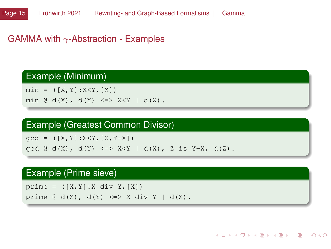#### GAMMA with  $\gamma$ -Abstraction - Examples

#### Example (Minimum)

 $min = ( [X, Y] : X < Y, [X])$ min  $\theta$  d(X), d(Y) <=> X<Y | d(X).

#### Example (Greatest Common Divisor)

 $qcd = ( [X, Y] : X < Y, [X, Y-X])$ 

 $gcd \varnothing d(X)$ ,  $d(Y) \iff X \leq Y \mid d(X)$ , Z is Y-X,  $d(Z)$ .

#### Example (Prime sieve)

prime =  $([X, Y]: X \text{ div } Y, [X])$ prime  $@d(X)$ ,  $d(Y) \iff X div Y | d(X)$ .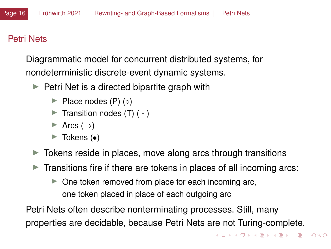# Petri Nets

Diagrammatic model for concurrent distributed systems, for nondeterministic discrete-event dynamic systems.

- $\blacktriangleright$  Petri Net is a directed bipartite graph with
	- $\blacktriangleright$  Place nodes (P) (◦)
	- **Transition nodes (T)** ( $\pi$ )
	- $\triangleright$  Arcs (→)
	- $\blacktriangleright$  Tokens ( $\bullet$ )
- $\triangleright$  Tokens reside in places, move along arcs through transitions
- $\triangleright$  Transitions fire if there are tokens in places of all incoming arcs:
	- $\triangleright$  One token removed from place for each incoming arc, one token placed in place of each outgoing arc

Petri Nets often describe nonterminating processes. Still, many properties are decidable, because Petri Nets are not Turing-complete.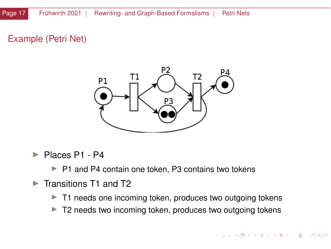# Example (Petri Net)



Places P1 - P4

 $\blacktriangleright$  P1 and P4 contain one token, P3 contains two tokens

- $\blacktriangleright$  Transitions T1 and T2
	- $\blacktriangleright$  T1 needs one incoming token, produces two outgoing tokens
	- $\blacktriangleright$  T2 needs two incoming token, produces two outgoing tokens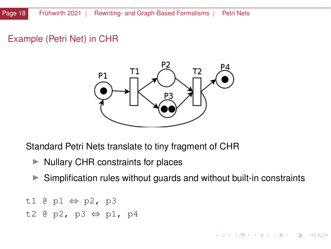#### Example (Petri Net) in CHR



Standard Petri Nets translate to tiny fragment of CHR

- $\triangleright$  Nullary CHR constraints for places
- $\triangleright$  Simplification rules without guards and without built-in constraints

イロト イ団 トイミト イミト ニミー りんぴ

- t1 @ p1 ⇔ p2, p3
- t2 @ p2, p3 ⇔ p1, p4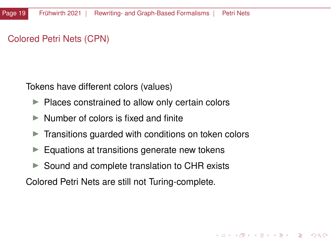# Colored Petri Nets (CPN)

Tokens have different colors (values)

- $\blacktriangleright$  Places constrained to allow only certain colors
- $\triangleright$  Number of colors is fixed and finite
- $\triangleright$  Transitions guarded with conditions on token colors

 $\mathbf{A} \otimes \mathbf{A} \otimes \mathbf{A} \otimes \mathbf{A} \otimes \mathbf{A} \otimes \mathbf{A} \otimes \mathbf{A} \otimes \mathbf{A} \otimes \mathbf{A} \otimes \mathbf{A} \otimes \mathbf{A} \otimes \mathbf{A} \otimes \mathbf{A} \otimes \mathbf{A} \otimes \mathbf{A} \otimes \mathbf{A} \otimes \mathbf{A} \otimes \mathbf{A} \otimes \mathbf{A} \otimes \mathbf{A} \otimes \mathbf{A} \otimes \mathbf{A} \otimes \mathbf{A} \otimes \mathbf{A} \otimes \mathbf{$ 

- $\blacktriangleright$  Equations at transitions generate new tokens
- $\triangleright$  Sound and complete translation to CHR exists

Colored Petri Nets are still not Turing-complete.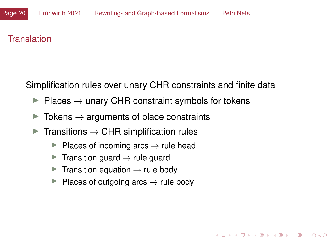#### **Translation**

Simplification rules over unary CHR constraints and finite data

 $\mathbf{A} \otimes \mathbf{A} \otimes \mathbf{A} \otimes \mathbf{A} \otimes \mathbf{A} \otimes \mathbf{A} \otimes \mathbf{A} \otimes \mathbf{A} \otimes \mathbf{A} \otimes \mathbf{A} \otimes \mathbf{A} \otimes \mathbf{A} \otimes \mathbf{A} \otimes \mathbf{A} \otimes \mathbf{A} \otimes \mathbf{A} \otimes \mathbf{A} \otimes \mathbf{A} \otimes \mathbf{A} \otimes \mathbf{A} \otimes \mathbf{A} \otimes \mathbf{A} \otimes \mathbf{A} \otimes \mathbf{A} \otimes \mathbf{$ 

 $QQ$ 

- $▶$  Places  $\rightarrow$  unary CHR constraint symbols for tokens
- $\triangleright$  Tokens  $\rightarrow$  arguments of place constraints
- $\triangleright$  Transitions  $\rightarrow$  CHR simplification rules
	- $▶$  Places of incoming arcs  $→$  rule head
	- $\triangleright$  Transition guard  $\rightarrow$  rule guard
	- $\blacktriangleright$  Transition equation  $\rightarrow$  rule body
	- $▶$  Places of outgoing arcs  $→$  rule body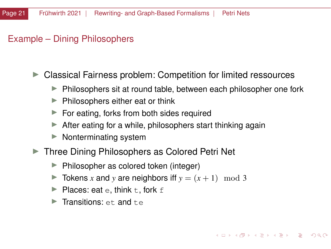#### Example – Dining Philosophers

 $\triangleright$  Classical Fairness problem: Competition for limited ressources

- $\blacktriangleright$  Philosophers sit at round table, between each philosopher one fork
- $\blacktriangleright$  Philosophers either eat or think
- $\blacktriangleright$  For eating, forks from both sides required
- $\blacktriangleright$  After eating for a while, philosophers start thinking again
- $\blacktriangleright$  Nonterminating system
- ▶ Three Dining Philosophers as Colored Petri Net
	- $\blacktriangleright$  Philosopher as colored token (integer)
	- $\triangleright$  Tokens *x* and *y* are neighbors iff  $y = (x + 1) \mod 3$
	- $\blacktriangleright$  Places: eat e, think t, fork f
	- $\blacktriangleright$  Transitions: et and t.e.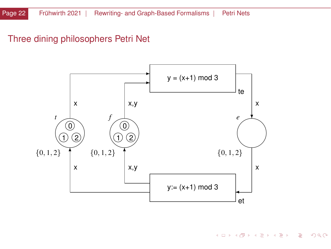# Three dining philosophers Petri Net



K ロ > K @ > K 경 > K 경 > 시경  $299$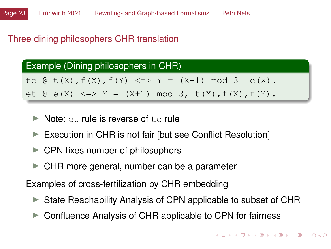## Three dining philosophers CHR translation

#### Example (Dining philosophers in CHR)

te  $\theta$  t(X),  $f(X)$ ,  $f(Y)$  <=>  $Y = (X+1)$  mod 3  $\theta$  (X).

et @ e(X) <=> Y = (X+1) mod 3, t(X),  $f(X)$ ,  $f(Y)$ .

- $\triangleright$  Note: et rule is reverse of the rule
- $\blacktriangleright$  Execution in CHR is not fair [but see Conflict Resolution]
- $\triangleright$  CPN fixes number of philosophers
- $\blacktriangleright$  CHR more general, number can be a parameter

Examples of cross-fertilization by CHR embedding

- $\triangleright$  State Reachability Analysis of CPN applicable to subset of CHR
- $\triangleright$  Confluence Analysis of CHR applicable to CPN for fairness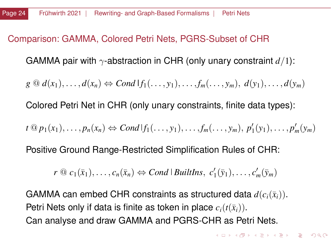#### Comparison: GAMMA, Colored Petri Nets, PGRS-Subset of CHR

GAMMA pair with γ-abstraction in CHR (only unary constraint *d*/1):

 $g \oplus d(x_1), \ldots, d(x_n) \Leftrightarrow Cond \mid f_1(\ldots, y_1), \ldots, f_m(\ldots, y_m), d(y_1), \ldots, d(y_m)$ 

Colored Petri Net in CHR (only unary constraints, finite data types):

*t* @ *p*1(*x*1), . . . , *pn*(*xn*) ⇔ *Cond f*1(. . . , *y*1), . . . , *fm*(. . . , *ym*), *p* 0 1 (*y*1), . . . , *p* 0 *<sup>m</sup>*(*ym*)

Positive Ground Range-Restricted Simplification Rules of CHR:

 $r \n\textcircled{2} c_1(\bar{x}_1), \ldots, c_n(\bar{x}_n) \Leftrightarrow Cond \mid \textit{Buildths,} \ c'_1(\bar{y}_1), \ldots, c'_m(\bar{y}_m)$ 

GAMMA can embed CHR constraints as structured data  $d(c_i(\bar{x}_i))$ . Petri Nets only if data is finite as token in place  $c_i(t(\bar{x}_i))$ . Can analyse and draw GAMMA and PGRS-CHR as Petri Nets.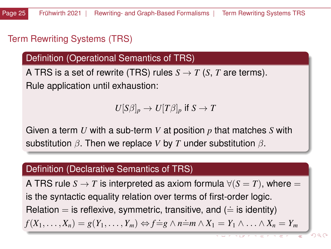# <span id="page-24-0"></span>Term Rewriting Systems (TRS)

Definition (Operational Semantics of TRS)

A TRS is a set of rewrite (TRS) rules  $S \to T$  (*S*, *T* are terms). Rule application until exhaustion:

$$
U[S\beta]_p\to U[T\beta]_p\text{ if }S\to T
$$

Given a term *U* with a sub-term *V* at position *p* that matches *S* with substitution β. Then we replace *V* by *T* under substitution β.

#### Definition (Declarative Semantics of TRS)

A TRS rule  $S \to T$  is interpreted as axiom formula  $\forall (S = T)$ , where  $=$ is the syntactic equality relation over terms of first-order logic. Relation  $=$  is reflexive, symmetric, transitive, and ( $\equiv$  is identity)  $f(X_1, \ldots, X_n) = g(Y_1, \ldots, Y_m) \Leftrightarrow f = g \wedge n = m \wedge X_1 = Y_1 \wedge \ldots \wedge X_n = Y_m$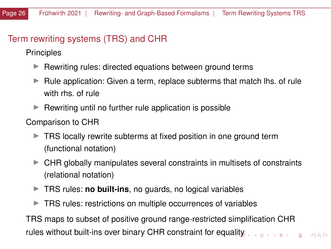# <span id="page-25-0"></span>Term rewriting systems (TRS) and CHR

Principles

- $\blacktriangleright$  Rewriting rules: directed equations between ground terms
- $\blacktriangleright$  Rule application: Given a term, replace subterms that match lhs. of rule with rhs. of rule
- $\blacktriangleright$  Rewriting until no further rule application is possible
- Comparison to CHR
	- $\triangleright$  TRS locally rewrite subterms at fixed position in one ground term (functional notation)
	- $\triangleright$  CHR globally manipulates several constraints in multisets of constraints (relational notation)
	- $\triangleright$  TRS rules: **no built-ins**, no guards, no logical variables
	- $\blacktriangleright$  TRS rules: restrictions on multiple occurrences of variables

TRS maps to subset of positive ground range-restricted simplification CHR rules without built-ins over binary CHR constraint fo[r e](#page-24-0)q[ua](#page-26-0)[li](#page-24-0)[ty](#page-25-0)  $QQ$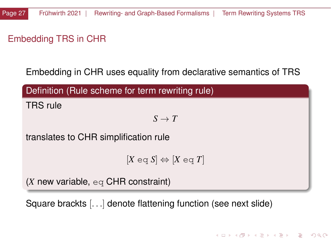# <span id="page-26-0"></span>Embedding TRS in CHR

Embedding in CHR uses equality from declarative semantics of TRS

| Definition (Rule scheme for term rewriting rule)              |
|---------------------------------------------------------------|
| <b>TRS</b> rule                                               |
| $S \to T$                                                     |
| translates to CHR simplification rule                         |
| $[X \eqcirc q S] \Leftrightarrow [X \eqcirc q T]$             |
| $(X \text{ new variable}, \text{eq } CHR \text{ constraint})$ |

KID KAR KE KE KE KE YA GA

Square brackts [. . .] denote flattening function (see next slide)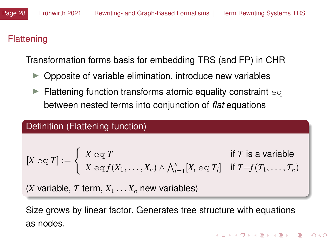# Flattening

Transformation forms basis for embedding TRS (and FP) in CHR

- $\triangleright$  Opposite of variable elimination, introduce new variables
- $\blacktriangleright$  Flattening function transforms atomic equality constraint eq between nested terms into conjunction of *flat* equations

# Definition (Flattening function)

$$
[X \eqcirc q \text{ } T] := \left\{ \begin{array}{ll} X \eqcirc q \text{ } T & \text{if } T \text{ is a variable} \\ X \eqcirc q \text{ } f(X_1, \ldots, X_n) \land \bigwedge_{i=1}^n [X_i \eqcirc q \text{ } T_i] & \text{if } T = f(T_1, \ldots, T_n) \end{array} \right.
$$

 $(X$  variable, T term,  $X_1 \ldots X_n$  new variables)

Size grows by linear factor. Generates tree structure with equations as nodes.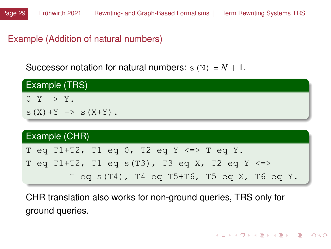Example (Addition of natural numbers)

Successor notation for natural numbers:  $s(N) = N + 1$ .

| Example (TRS)                                    |
|--------------------------------------------------|
| $0+Y \rightarrow Y$ .                            |
| $S(X) + Y \rightarrow S(X+Y)$ .                  |
|                                                  |
| Example (CHR)                                    |
| T eq T1+T2, T1 eq 0, T2 eq Y $\le$ $\ge$ T eq Y. |
| T eq T1+T2, T1 eq s(T3), T3 eq X, T2 eq Y <=>    |
| T eq s(T4), T4 eq T5+T6, T5 eq X, T6 eq Y.       |

CHR translation also works for non-ground queries, TRS only for ground queries.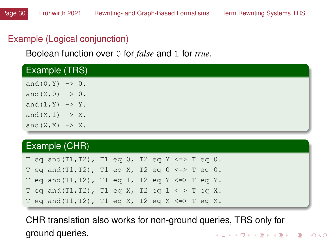# Example (Logical conjunction)

Boolean function over 0 for *false* and 1 for *true*.

| <b>Example (TRS)</b>         |  |
|------------------------------|--|
| and $(0, Y)$ -> 0.           |  |
| and $(X, 0)$ -> 0.           |  |
| and $(1, Y)$ -> Y.           |  |
| and $(X, 1) \rightarrow X$ . |  |
| and $(X, X) \rightarrow X$ . |  |

#### Example (CHR)

T eq and (T1, T2), T1 eq 0, T2 eq Y <=> T eq 0. T eq and(T1,T2), T1 eq X, T2 eq  $0 \le x$ T eq and  $(T1, T2)$ , T1 eq 1, T2 eq Y <=> T eq Y. T eq and(T1,T2), T1 eq X, T2 eq 1  $\le$  T eq X. T eq and  $(T1, T2)$ , T1 eq X, T2 eq X <=> T eq X.

CHR translation also works for non-ground queries, TRS only for ground queries.K ロ > K @ > K 경 > K 경 > 시경

 $QQ$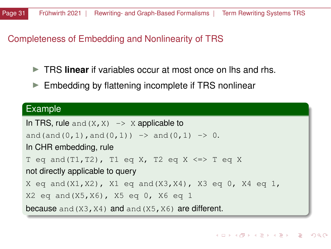## Completeness of Embedding and Nonlinearity of TRS

- **In TRS linear** if variables occur at most once on lhs and rhs.
- $\blacktriangleright$  Embedding by flattening incomplete if TRS nonlinear

#### Example

```
In TRS, rule and (X, X) \rightarrow X applicable to
and(and(0,1),and(0,1)) \rightarrow and(0,1) \rightarrow 0.
In CHR embedding, rule
T eq and (T1, T2), T1 eq X, T2 eq X <=> T eq X
not directly applicable to query
X eq and (X1, X2), X1 eq and (X3, X4), X3 eq 0, X4 eq 1,
X2 eq and(X5,X6), X5 eq 0, X6 eq 1
because and (X3, X4) and and (X5, X6) are different.
```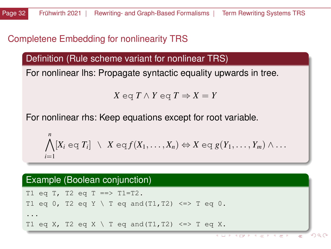# <span id="page-31-0"></span>Completene Embedding for nonlinearity TRS

Definition (Rule scheme variant for nonlinear TRS)

For nonlinear lhs: Propagate syntactic equality upwards in tree.

*X* eq *T* ∧ *Y* eq  $T$  ⇒  $X = Y$ 

For nonlinear rhs: Keep equations except for root variable.

$$
\bigwedge_{i=1}^n [X_i \in \subset T_i] \setminus X \in \subset f(X_1,\ldots,X_n) \Leftrightarrow X \in \subset g(Y_1,\ldots,Y_m) \wedge \ldots
$$

# Example (Boolean conjunction)

```
T1 eq T, T2 eq T ==> T1=T2.
T1 eq 0, T2 eq Y \ T eq and(T1,T2) \le > T eq 0.
...
T1 eq X, T2 eq X \ T eq and(T1,T2) \le > T eq X.
```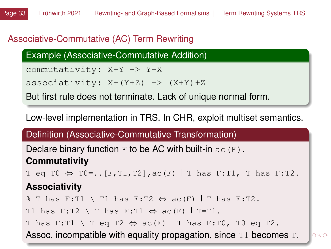# <span id="page-32-0"></span>Associative-Commutative (AC) Term Rewriting

Example (Associative-Commutative Addition)

commutativity: X+Y -> Y+X

associativity:  $X+(Y+Z)$  ->  $(X+Y)+Z$ 

But first rule does not terminate. Lack of unique normal form.

Low-level implementation in TRS. In CHR, exploit multiset semantics.

Definition (Associative-Commutative Transformation)

Declare binary function  $F$  to be AC with built-in  $ac(F)$ . **Commutativity**

T eq T0  $\Leftrightarrow$  T0=..[F, T1, T2], ac(F) | T has F: T1, T has F: T2.

#### **Associativity**

% T has F:T1 \ T1 has F:T2  $\Leftrightarrow$  ac(F) | T has F:T2.

T1 has F:T2 \ T has F:T1  $\Leftrightarrow$  ac(F) | T=T1.

T has F:T1 \ T eq T2  $\Leftrightarrow$  ac(F) | T has F:T0, T0 eq T2.

Assoc. incompatible with equality propagation, [si](#page-31-0)n[c](#page-39-0)[e](#page-31-0)  $T1$  [be](#page-0-0)c[o](#page-40-0)[m](#page-0-0)[es](#page-143-0)  $T$ [.](#page-143-0)  $290$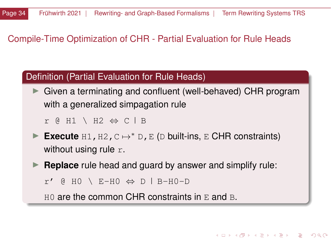#### <span id="page-33-0"></span>Compile-Time Optimization of CHR - Partial Evaluation for Rule Heads

#### Definition (Partial Evaluation for Rule Heads)

 $\triangleright$  Given a terminating and confluent (well-behaved) CHR program with a generalized simpagation rule

 $r$  @ H1 \ H2  $\Leftrightarrow$  C  $\vert$  B

- **Execute** H1, H2, C  $\mapsto$  <sup>\*</sup> D, E (D built-ins, E CHR constraints) without using rule  $r$ .
- **Replace** rule head and guard by answer and simplify rule:

**KOD KARD KED KE DA YA A** 

 $r'$  @ HO \ E-HO  $\Leftrightarrow$  D | B-HO-D

 $H0$  are the common CHR constraints in  $E$  and  $B$ .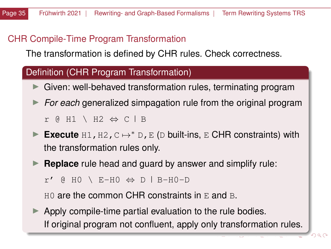# CHR Compile-Time Program Transformation

The transformation is defined by CHR rules. Check correctness.

#### Definition (CHR Program Transformation)

- $\triangleright$  Given: well-behaved transformation rules, terminating program
- **For each generalized simpagation rule from the original program** r @ H1 \ H2  $\Leftrightarrow$  C  $\vert$  B
- **Execute** H1, H2, C → \* D, E (D built-ins, E CHR constraints) with the transformation rules only.
- **Replace** rule head and guard by answer and simplify rule:

 $r'$  @ HO \ E-HO  $\Leftrightarrow$  D | B-HO-D

 $H0$  are the common CHR constraints in E and B.

 $\blacktriangleright$  Apply compile-time partial evaluation to the rule bodies. If original program not confluent, apply only transformation rules.

 $290$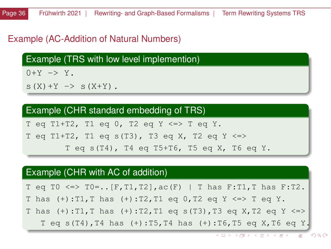#### Example (AC-Addition of Natural Numbers)

Example (TRS with low level implemention)

 $0+Y \rightarrow Y$ 

 $S(X) + Y \implies S(X+Y)$ .

#### Example (CHR standard embedding of TRS)

T eq T1+T2, T1 eq 0, T2 eq Y  $\le$  > T eq Y.

T eq T1+T2, T1 eq s(T3), T3 eq X, T2 eq Y <=>

T eq s(T4), T4 eq T5+T6, T5 eq X, T6 eq Y.

#### Example (CHR with AC of addition)

T eq T0 <=> T0=.. [F, T1, T2], ac(F) | T has F: T1, T has F: T2.

T has  $(+)$ :T1,T has  $(+)$ :T2,T1 eq 0,T2 eq Y <=> T eq Y.

T has  $(+):T1, T$  has  $(+):T2, T1$  eq s(T3), T3 eq X, T2 eq Y <=>

T eq s(T4),T4 has (+):T5,T4 has (+):T6,T5 eq X,T6 eq Y.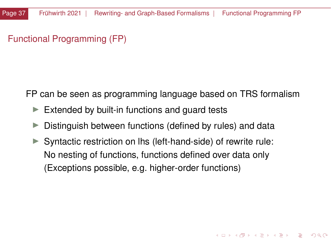# <span id="page-36-0"></span>Functional Programming (FP)

FP can be seen as programming language based on TRS formalism

- $\triangleright$  Extended by built-in functions and guard tests
- $\triangleright$  Distinguish between functions (defined by rules) and data
- $\triangleright$  Syntactic restriction on lhs (left-hand-side) of rewrite rule: No nesting of functions, functions defined over data only (Exceptions possible, e.g. higher-order functions)

KOD KAP KED KED E YAN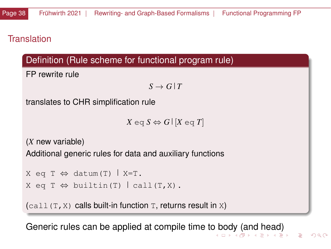# <span id="page-37-0"></span>**Translation**

# Definition (Rule scheme for functional program rule)

FP rewrite rule

 $S \rightarrow G/T$ 

translates to CHR simplification rule

 $X \in G$   $S \Leftrightarrow G$   $[X \in G]$ 

(*X* new variable)

Additional generic rules for data and auxiliary functions

```
X eq T \Leftrightarrow datum(T) | X=T.
X eq T \Leftrightarrow builtin(T) \vert call(T,X).
```
 $(call(T,X))$  calls built-in function T, returns result in X)

Generic rules can be applied at compile time t[o b](#page-36-0)[od](#page-38-0)[y](#page-36-0) [\(a](#page-37-0)[n](#page-38-0)[d](#page-0-0) [h](#page-39-0)[e](#page-40-0)[ad](#page-0-0)[\)](#page-143-0)

 $\Omega$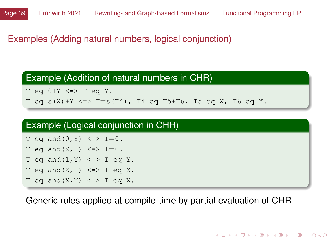## <span id="page-38-0"></span>Examples (Adding natural numbers, logical conjunction)

#### Example (Addition of natural numbers in CHR)

T eq  $0+Y \le y$  T eq Y.

T eq  $s(X) + Y \iff T = s(T4)$ , T4 eq T5+T6, T5 eq X, T6 eq Y.

#### Example (Logical conjunction in CHR)

```
T eq and (0, Y) \iff T = 0.
T eq and (X, 0) \iff T=0.
T eq and (1, Y) \iff T eq Y.
T eq and (X, 1) \leq > T eq X.
T eq and (X, Y) \leq > T eq X.
```
Generic rules applied at compile-time by partial evaluation of CHR

#### イロト イ団 トイミト イミト ニミー りんぴ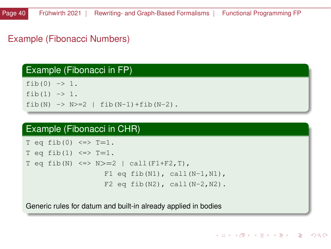# <span id="page-39-0"></span>Example (Fibonacci Numbers)

### Example (Fibonacci in FP)

 $fib(0) \rightarrow 1$ . fib(1)  $\rightarrow$  1. fib(N)  $\rightarrow$  N > = 2 | fib(N-1) + fib(N-2).

#### Example (Fibonacci in CHR)

```
T eq fib(0) \le \ge T=1.
T eq fib(1) \le \ge T=1.
T eq fib(N) \le > N > = 2 | call(F1+F2, T),
                    F1 eq fib(N1), call(N-1,N1),
                    F2 eq fib(N2), call(N-2, N2).
```
Generic rules for datum and built-in already applied in bodies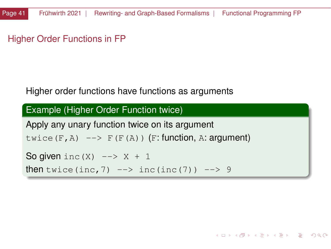<span id="page-40-0"></span>Higher Order Functions in FP

#### Higher order functions have functions as arguments

```
Example (Higher Order Function twice)
Apply any unary function twice on its argument
twice(F, A) \leftarrow F(F(A)) (F: function, A: argument)
So given inc(X) --> X + 1then twice (inc, 7) \rightarrow inc (inc(7)) \rightarrow 9
```
イロト イ団 トイミト イミト ニミー りんぴ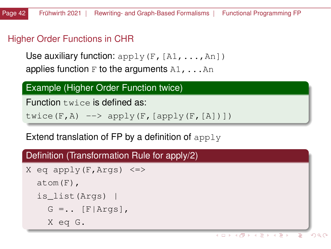# Higher Order Functions in CHR

Use auxiliary function:  $apply(F,[A1,\ldots,An])$ applies function  $F$  to the arguments  $A1, \ldots An$ 

#### Example (Higher Order Function twice)

Function twice is defined as:

twice(F,A)  $\left(-\right)$  apply(F, [apply(F, [A])])

Extend translation of FP by a definition of  $apply$ 

### Definition (Transformation Rule for apply/2)

```
X eq apply(F, Args) \le >
  atom(F),
  is_list(Args) |
    G = \ldots [F|Args],
    X eq G.
```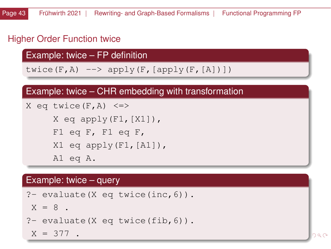# Higher Order Function twice

Example: twice – FP definition

twice(F,A)  $\left[-> \text{apply}(F, [\text{apply}(F, [A])]\right)$ 

### Example: twice – CHR embedding with transformation

```
X eq twice(F, A) \le >
     X eq apply(F1, [X1]),
     F1 eq F, F1 eq F,
     X1 eq apply(F1, [A1]),
     A1 eq A.
```
#### Example: twice – query

```
?- evaluate(X eq twice(inc,6)).
X = 8?- evaluate(X eq twice(fib,6)).
X = 377.
```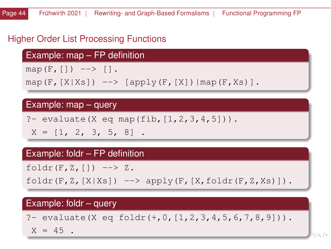# Higher Order List Processing Functions

Example: map – FP definition

map(F,  $[$ ])  $\rightarrow$   $[$ ].

map(F, $[X|Xs]$ ) -->  $[apply(F, [X])|map(F, Xs)]$ .

### Example: map – query

?- evaluate  $(X \text{ eq map} (fib, [1, 2, 3, 4, 5]))$ .

 $X = \begin{bmatrix} 1 & 2 & 3 & 5 & 8 \end{bmatrix}$ .

#### Example: foldr – FP definition

foldr $(F,Z, [])$  --> Z.

 $foldr(F,Z,[X|Xs]) \quad \text{--> apply}(F,[X,foldr(F,Z,Xs)]).$ 

#### Example: foldr – query

?- evaluate(X eq foldr(+, 0,  $[1, 2, 3, 4, 5, 6, 7, 8, 9])$ ).

 $X = 45$ .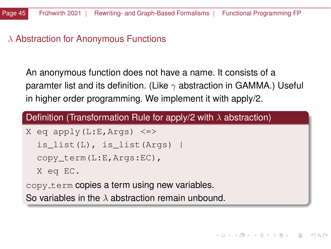# $\lambda$  Abstraction for Anonymous Functions

An anonymous function does not have a name. It consists of a paramter list and its definition. (Like  $\gamma$  abstraction in GAMMA.) Useful in higher order programming. We implement it with apply/2.

### Definition (Transformation Rule for apply/2 with  $\lambda$  abstraction)

```
X eq apply(L:E, Args) \le >
  is list(L), is list(Args)
  copy term(L:E,Args:EC),
  X eq EC.
copy term copies a term using new variables.
```
So variables in the  $\lambda$  abstraction remain unbound.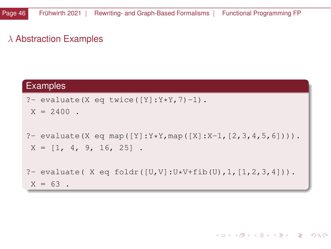# λ Abstraction Examples

## Examples

```
?- evaluate (X eq twice ([Y]:Y*Y, 7)-1).
X = 2400
```

```
?- evaluate(X eq map([Y]:Y*Y, \text{map}([X]:X-1, [2,3,4,5,6]))).
X = \begin{bmatrix} 1 & 4 & 9 & 16 & 25 \end{bmatrix}.
```

```
?- evaluate( X eq foldr([U,V]:U*V+fib(U),1, [1,2,3,4])).
X = 63.
```
#### イロト (伊) イミト (ミ) - ミーの久心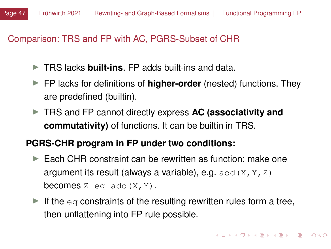### Comparison: TRS and FP with AC, PGRS-Subset of CHR

- **► TRS lacks built-ins. FP adds built-ins and data.**
- ► FP lacks for definitions of **higher-order** (nested) functions. They are predefined (builtin).
- **FIRS and FP cannot directly express AC (associativity and commutativity)** of functions. It can be builtin in TRS.

## **PGRS-CHR program in FP under two conditions:**

- $\blacktriangleright$  Each CHR constraint can be rewritten as function: make one argument its result (always a variable), e.g. add  $(X, Y, Z)$ **becomes** Z eq add $(X, Y)$ .
- If the eq constraints of the resulting rewritten rules form a tree, then unflattening into FP rule possible.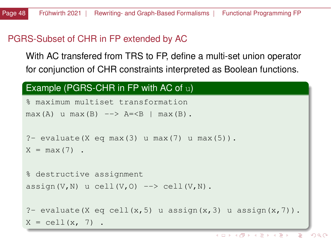### <span id="page-47-0"></span>PGRS-Subset of CHR in FP extended by AC

With AC transfered from TRS to FP, define a multi-set union operator for conjunction of CHR constraints interpreted as Boolean functions.

#### Example (PGRS-CHR in FP with AC of u)

```
% maximum multiset transformation
max(A) u max(B) \leftarrow > A=<B | max(B).
?- evaluate(X eq max(3) u max(7) u max(5)).
X = max(7).
% destructive assignment
assign(V,N) u cell(V,O) \rightarrow cell(V,N).
?- evaluate(X eq cell(x, 5) u assign(x, 3) u assign(x, 7)).
X = \text{cell}(x, 7).
```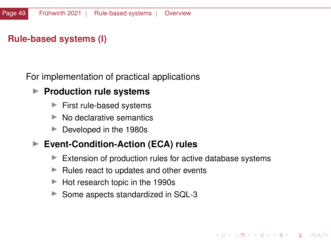## <span id="page-48-0"></span>**Rule-based systems (I)**

For implementation of practical applications

#### **Production rule systems**

- $\blacktriangleright$  First rule-based systems
- $\triangleright$  No declarative semantics
- $\blacktriangleright$  Developed in the 1980s

#### ▶ Event-Condition-Action (ECA) rules

 $\blacktriangleright$  Extension of production rules for active database systems

 $\left\{ \begin{array}{ccc} \square & \times & \overline{\cap} & \times \end{array} \right. \left\{ \begin{array}{ccc} \square & \times & \times & \square & \times \end{array} \right. \left. \begin{array}{ccc} \square & \times & \times & \square & \times \end{array} \right.$ 

 $\Omega$ 

- $\blacktriangleright$  Rules react to updates and other events
- $\blacktriangleright$  Hot research topic in the 1990s
- $\triangleright$  Some aspects standardized in SQL-3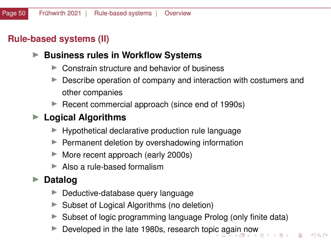# <span id="page-49-0"></span>**Rule-based systems (II)**

### ▶ Business rules in Workflow Systems

- $\triangleright$  Constrain structure and behavior of business
- $\blacktriangleright$  Describe operation of company and interaction with costumers and other companies
- $\blacktriangleright$  Recent commercial approach (since end of 1990s)

# ▶ Logical Algorithms

- $\blacktriangleright$  Hypothetical declarative production rule language
- $\blacktriangleright$  Permanent deletion by overshadowing information
- $\blacktriangleright$  More recent approach (early 2000s)
- $\blacktriangleright$  Also a rule-based formalism

# **► Datalog**

- $\blacktriangleright$  Deductive-database query language
- $\triangleright$  Subset of Logical Algorithms (no deletion)
- $\triangleright$  Subset of logic programming language Prolog (only finite data)
- Developed in the late 1980s, research top[ic](#page-48-0) a[ga](#page-50-0)[i](#page-48-0)[n n](#page-49-0)[o](#page-50-0)[w](#page-47-0)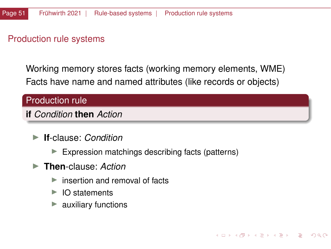### <span id="page-50-0"></span>Production rule systems

Working memory stores facts (working memory elements, WME) Facts have name and named attributes (like records or objects)

### Production rule

#### **if** *Condition* **then** *Action*

- **If-clause:** *Condition* 
	- $\blacktriangleright$  Expression matchings describing facts (patterns)

K ロ ▶ K 御 ▶ K 君 ▶ K 君 ▶ ○ 君

 $\Omega$ 

- **Figure**: *Action* 
	- $\triangleright$  insertion and removal of facts
	- $\triangleright$  IO statements
	- auxiliary functions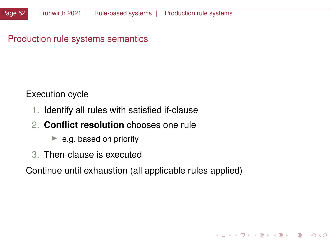### Production rule systems semantics

Execution cycle

- 1. Identify all rules with satisfied if-clause
- 2. **Conflict resolution** chooses one rule
	- $\blacktriangleright$  e.g. based on priority
- 3. Then-clause is executed

Continue until exhaustion (all applicable rules applied)

K ロ ▶ K 優 ▶ K 경 ▶ K 경 ▶ ○ 경

 $QQ$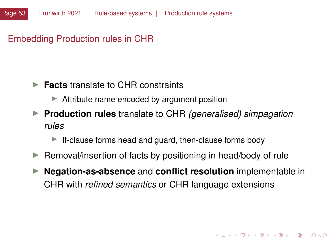## Embedding Production rules in CHR

### **► Facts** translate to CHR constraints

- $\blacktriangleright$  Attribute name encoded by argument position
- I **Production rules** translate to CHR *(generalised) simpagation rules*
	- $\blacktriangleright$  If-clause forms head and guard, then-clause forms body
- $\blacktriangleright$  Removal/insertion of facts by positioning in head/body of rule
- **ID Negation-as-absence** and **conflict resolution** implementable in CHR with *refined semantics* or CHR language extensions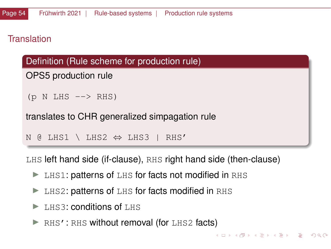### **Translation**

### Definition (Rule scheme for production rule)

```
OPS5 production rule
```

```
(p \ N \ LHS \dashrightarrow RHS)
```
translates to CHR generalized simpagation rule

N @ LHS1 \ LHS2 ⇔ LHS3 | RHS'

LHS left hand side (if-clause), RHS right hand side (then-clause)

KOD KAP KED KED E YAN

- $\blacktriangleright$  LHS1: patterns of LHS for facts not modified in RHS
- $\blacktriangleright$  LHS2: patterns of LHS for facts modified in RHS
- $\blacktriangleright$  LHS3: conditions of LHS
- $\triangleright$  RHS': RHS without removal (for LHS2 facts)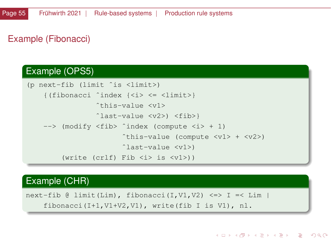# Example (Fibonacci)

#### Example (OPS5)

```
(p next-fib (limit ˆis <limit>)
    {(fibonacci ˆindex {<i> <= <limit>}
                  ˆthis-value <v1>
                  ˆlast-value <v2>) <fib>}
    --> (modify <fib> ^index (compute <i> + 1)
                         ^{\circ}this-value (compute \langle v1 \rangle + \langle v2 \rangle)
                         ˆlast-value <v1>)
         (write (crlf) Fib <i> is <v1>))
```
#### Example (CHR)

next-fib @ limit(Lim), fibonacci(I,V1,V2) <=> I =< Lim | fibonacci(I+1,V1+V2,V1), write(fib I is V1), nl.

イロト イ団 トイミト イミト ニミー りんぴ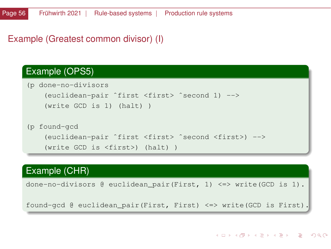### Example (Greatest common divisor) (I)

#### Example (OPS5)

```
(p done-no-divisors
    (euclidean-pair ˆfirst <first> ˆsecond 1) -->
    (write GCD is 1) (halt) )
(p found-gcd
    (euclidean-pair ˆfirst <first> ˆsecond <first>) -->
    (write GCD is <first>) (halt) )
```
# Example (CHR)

done-no-divisors @ euclidean\_pair(First, 1) <=> write(GCD is 1).

found-gcd @ euclidean\_pair(First, First) <=> write(GCD is First).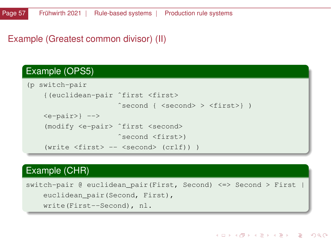### Example (Greatest common divisor) (II)

#### Example (OPS5)

```
(p switch-pair
    {(euclidean-pair ˆfirst <first>
                      ˆsecond { <second> > <first>} )
    \langlee-pair>} -->
    (modify <e-pair> ˆfirst <second>
                      ˆsecond <first>)
    (write <first> -- <second> (crlf)) )
```
### Example (CHR)

switch-pair @ euclidean\_pair(First, Second) <=> Second > First | euclidean\_pair(Second, First), write(First--Second), nl.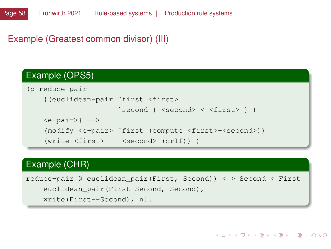### Example (Greatest common divisor) (III)

### Example (OPS5)

```
(p reduce-pair
    {(euclidean-pair ˆfirst <first>
                      ˆsecond { <second> < <first> } )
    \langlee-pair>} -->
    (modify <e-pair> ˆfirst (compute <first>-<second>))
    (write <first> -- <second> (crlf)) )
```
### Example (CHR)

reduce-pair @ euclidean\_pair(First, Second)) <=> Second < First | euclidean\_pair(First-Second, Second), write(First--Second), nl.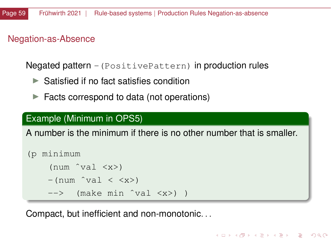# <span id="page-58-0"></span>Negation-as-Absence

Negated pattern -(PositivePattern) in production rules

- $\blacktriangleright$  Satisfied if no fact satisfies condition
- $\blacktriangleright$  Facts correspond to data (not operations)

# Example (Minimum in OPS5)

A number is the minimum if there is no other number that is smaller.

KED KARD KED KED A BLADA

```
(p minimum
       (num^{\text{val}} < x>)-(num \hat{v}al \langle \langle x \rangle)
       \leftarrow (make min \hat{v}val \langle x \rangle)
```
Compact, but inefficient and non-monotonic. . .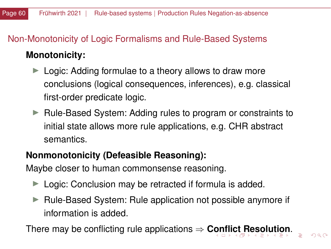# <span id="page-59-0"></span>Non-Monotonicity of Logic Formalisms and Rule-Based Systems

# **Monotonicity:**

- $\blacktriangleright$  Logic: Adding formulae to a theory allows to draw more conclusions (logical consequences, inferences), e.g. classical first-order predicate logic.
- $\blacktriangleright$  Rule-Based System: Adding rules to program or constraints to initial state allows more rule applications, e.g. CHR abstract semantics.

# **Nonmonotonicity (Defeasible Reasoning):**

Maybe closer to human commonsense reasoning.

- $\blacktriangleright$  Logic: Conclusion may be retracted if formula is added.
- $\triangleright$  Rule-Based System: Rule application not possible anymore if information is added.

There may be conflicting rule applications ⇒ **[Con](#page-58-0)[fli](#page-60-0)[c](#page-58-0)[t R](#page-59-0)[e](#page-47-0)[s](#page-48-0)[olu](#page-143-0)[ti](#page-0-0)[on](#page-143-0)**[.](#page-0-0)

 $\Omega$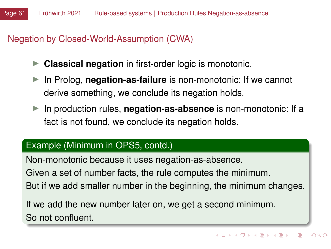# <span id="page-60-0"></span>Negation by Closed-World-Assumption (CWA)

- **Classical negation** in first-order logic is monotonic.
- In Prolog, **negation-as-failure** is non-monotonic: If we cannot derive something, we conclude its negation holds.
- In production rules, **negation-as-absence** is non-monotonic: If a fact is not found, we conclude its negation holds.

### Example (Minimum in OPS5, contd.)

Non-monotonic because it uses negation-as-absence. Given a set of number facts, the rule computes the minimum. But if we add smaller number in the beginning, the minimum changes.

If we add the new number later on, we get a second minimum. So not confluent.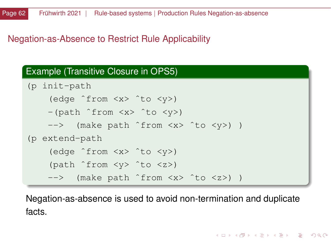# Negation-as-Absence to Restrict Rule Applicability

#### Example (Transitive Closure in OPS5)

```
(p init-path
    (edge ˆfrom <x> ˆto <y>)
   -(path \text{ from } <x> ^to <iy>)
   --> (make path ˆfrom <x> ˆto <y>) )
(p extend-path
    (edge ˆfrom <x> ˆto <y>)
    (path ˆfrom <y> ˆto <z>)
   --> (make path ˆfrom <x> ˆto <z>) )
```
Negation-as-absence is used to avoid non-termination and duplicate facts.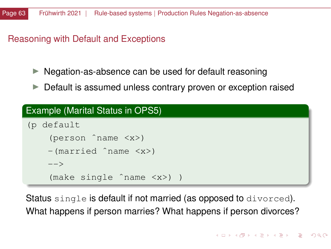#### Reasoning with Default and Exceptions

- $\blacktriangleright$  Negation-as-absence can be used for default reasoning
- $\triangleright$  Default is assumed unless contrary proven or exception raised

#### Example (Marital Status in OPS5)

```
(p default
    (person ˆname <x>)
   -(married ˆname <x>)
   --&(make single ˆname <x>) )
```
Status single is default if not married (as opposed to divorced). What happens if person marries? What happens if person divorces?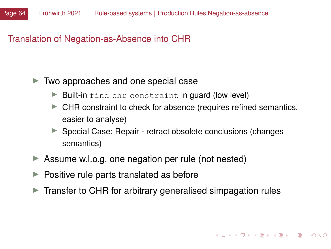#### <span id="page-63-0"></span>Translation of Negation-as-Absence into CHR

#### $\blacktriangleright$  Two approaches and one special case

- $\blacktriangleright$  Built-in find chr constraint in guard (low level)
- $\blacktriangleright$  CHR constraint to check for absence (requires refined semantics, easier to analyse)
- ▶ Special Case: Repair retract obsolete conclusions (changes semantics)
- $\triangleright$  Assume w.l.o.g. one negation per rule (not nested)
- $\blacktriangleright$  Positive rule parts translated as before
- $\triangleright$  Transfer to CHR for arbitrary generalised simpagation rules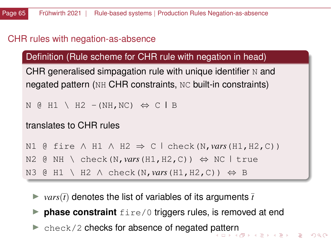# <span id="page-64-0"></span>CHR rules with negation-as-absence

### Definition (Rule scheme for CHR rule with negation in head)

CHR generalised simpagation rule with unique identifier  $N$  and negated pattern (NH CHR constraints, NC built-in constraints)

```
N @ H1 \ H2 -(NH, NC) \Leftrightarrow C | B
```
### translates to CHR rules

```
N1 \theta fire ∧ H1 ∧ H2 \Rightarrow C \theta check(N, vars(H1, H2, C))
```

```
N2 @ NH \ check(N, vars(H1, H2, C)) \Leftrightarrow NC | true
```

```
N3 @ H1 \ H2 ∧ check(N,vars(H1,H2,C)) ⇔ B
```
- $\triangleright$  *vars*( $\bar{t}$ ) denotes the list of variables of its arguments  $\bar{t}$
- $\triangleright$  **phase constraint**  $fire/0$  triggers rules, is removed at end
- I check/2 checks for absence of negated [pat](#page-63-0)t[er](#page-65-0)[n](#page-63-0)<br>All and the sense is a second second that the sense is a second that the sense is a second that the sense is a second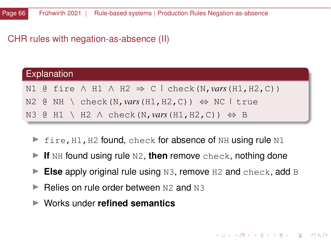#### <span id="page-65-0"></span>CHR rules with negation-as-absence (II)

| <b>Explanation</b> |  |  |                                                                                    |  |
|--------------------|--|--|------------------------------------------------------------------------------------|--|
|                    |  |  | N1 @ fire $\land$ H1 $\land$ H2 $\Rightarrow$ C $\mid$ check (N, vars (H1, H2, C)) |  |
|                    |  |  | N2 @ NH \ check(N, vars(H1, H2, C)) $\Leftrightarrow$ NC   true                    |  |
|                    |  |  | N3 @ H1 \ H2 $\land$ check (N, vars (H1, H2, C)) $\Leftrightarrow$ B               |  |

- $\triangleright$  fire, H1, H2 found, check for absence of NH using rule N1
- If NH found using rule N2, then remove check, nothing done
- ► Else apply original rule using N3, remove H<sub>2</sub> and check, add B
- I Relies on rule order between N2 and N3
- ▶ Works under **refined semantics**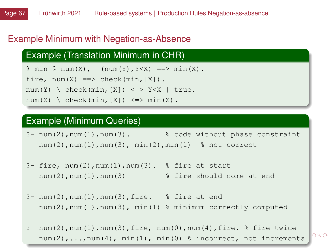### <span id="page-66-0"></span>Example Minimum with Negation-as-Absence

### Example (Translation Minimum in CHR)

 $\frac{1}{2}$  min  $\frac{1}{2}$  num(X), -(num(Y), Y<X) ==> min(X). fire,  $num(X) ==$  check( $min, [X]$ ).  $num(Y) \setminus check(min,[X]) \iff Y < X \mid true.$  $num(X) \setminus check(min, [X]) \leq \Rightarrow min(X)$ .

#### Example (Minimum Queries)

?- num(2),num(1),num(3). % code without phase constraint num(2),num(1),num(3), min(2),min(1) % not correct

- $?$  fire, num(2), num(1), num(3).  $%$  fire at start num(2), num(1), num(3) % fire should come at end
- $?$  num(2), num(1), num(3), fire.  $%$  fire at end num(2),num(1),num(3), min(1) % minimum correctly computed

?-  $num(2)$ ,  $num(1)$ ,  $num(3)$ ,  $fire$ ,  $num(0)$ ,  $num(4)$ ,  $fire$ .  $%$   $fire$  twice  $298$  $num(2), \ldots, num(4), min(1), min(0)$  $num(2), \ldots, num(4), min(1), min(0)$  $num(2), \ldots, num(4), min(1), min(0)$  $num(2), \ldots, num(4), min(1), min(0)$  $num(2), \ldots, num(4), min(1), min(0)$  $num(2), \ldots, num(4), min(1), min(0)$  $num(2), \ldots, num(4), min(1), min(0)$  $num(2), \ldots, num(4), min(1), min(0)$  $num(2), \ldots, num(4), min(1), min(0)$  % inco[rr](#page-65-0)[ect](#page-67-0), n[o](#page-67-0)[t](#page-47-0) in[cr](#page-0-0)[eme](#page-143-0)[nt](#page-0-0)[al](#page-143-0)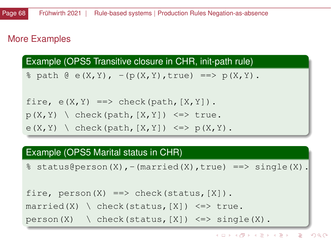# <span id="page-67-0"></span>More Examples

Example (OPS5 Transitive closure in CHR, init-path rule)

 $\frac{1}{2}$  path  $\theta$  e(X, Y), -(p(X, Y), true) ==> p(X, Y).

```
fire, e(X, Y) \implies check(path, [X, Y]).
p(X, Y) (check(path, [X, Y]) <=> true.
e(X, Y) (check(path, [X, Y]) \leq \geq p(X, Y).
```
### Example (OPS5 Marital status in CHR)

 $\text{\$ status@person(X), - (married(X), true) \ ==> single(X).}$ 

```
fire, person(X) ==> check(status, [X]).
married(X) \ check(status, [X]) <=> true.
```

```
person(X) \setminus check(status, [X]) \iff single(X).
```
KOD KAP KED KED E VAA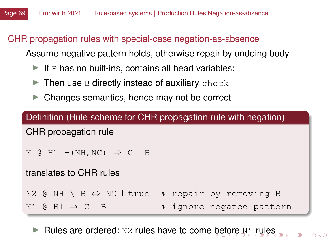# <span id="page-68-0"></span>CHR propagation rules with special-case negation-as-absence

Assume negative pattern holds, otherwise repair by undoing body

- $\blacktriangleright$  If B has no built-ins, contains all head variables:
- $\blacktriangleright$  Then use B directly instead of auxiliary check
- $\triangleright$  Changes semantics, hence may not be correct

| Definition (Rule scheme for CHR propagation rule with negation)            |                          |  |  |  |  |
|----------------------------------------------------------------------------|--------------------------|--|--|--|--|
| CHR propagation rule                                                       |                          |  |  |  |  |
| N $\odot$ H1 - (NH, NC) $\Rightarrow$ C $\Box$ B                           |                          |  |  |  |  |
| translates to CHR rules                                                    |                          |  |  |  |  |
| N2 @ NH \ B $\Leftrightarrow$ NC   true $\frac{1}{2}$ repair by removing B |                          |  |  |  |  |
| N' @ H1 $\Rightarrow$ C   B                                                | % ignore negated pattern |  |  |  |  |

Rules a[re](#page-67-0) o[r](#page-47-0)dered:  $N2$  $N2$  rules have to come [be](#page-67-0)[fo](#page-69-0)re  $N'$  $N'$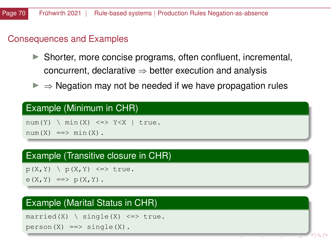#### <span id="page-69-0"></span>Consequences and Examples

- $\triangleright$  Shorter, more concise programs, often confluent, incremental, concurrent, declarative  $\Rightarrow$  better execution and analysis
- $\triangleright \Rightarrow$  Negation may not be needed if we have propagation rules

#### Example (Minimum in CHR)

 $num(Y)$   $\mid$   $min(X)$   $\leq$   $>>$   $Y\leq X$  | true.  $num(X) == > min(X)$ .

#### Example (Transitive closure in CHR)

 $p(X, Y)$   $\rightarrow$   $p(X, Y)$   $\leftarrow$   $\rightarrow$  true.  $e(X, Y) \implies p(X, Y)$ .

### Example (Marital Status in CHR)

married(X)  $\infty$  single(X)  $\le$  > true.  $person(X) ==> single(X)$ .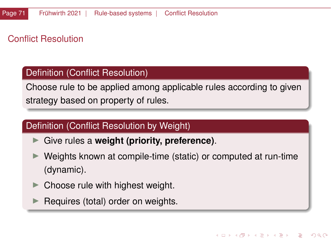# Conflict Resolution

#### Definition (Conflict Resolution)

Choose rule to be applied among applicable rules according to given strategy based on property of rules.

### Definition (Conflict Resolution by Weight)

- ► Give rules a **weight (priority, preference)**.
- I Weights known at compile-time (static) or computed at run-time (dynamic).
- Choose rule with highest weight.
- Requires (total) order on weights.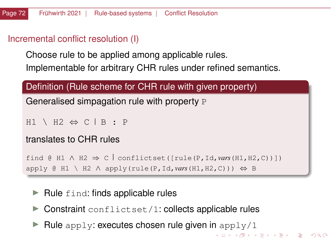#### Incremental conflict resolution (I)

Choose rule to be applied among applicable rules. Implementable for arbitrary CHR rules under refined semantics.

### Definition (Rule scheme for CHR rule with given property)

Generalised simpagation rule with property P

```
H1 \setminus H2 \Leftrightarrow C \mid B : P
```
#### translates to CHR rules

```
find @ H1 \land H2 \Rightarrow C conflictset([rule(P, Id, vars(H1, H2, C))])
apply @ H1 \ H2 \land apply(rule(P, Id, vars(H1, H2, C))) \Leftrightarrow B
```
- $\blacktriangleright$  Rule find: finds applicable rules
- $\triangleright$  Constraint conflictset/1: collects applicable rules
- Rule apply: executes chosen rule given in apply/1

**KORK EXTERNE DRAM**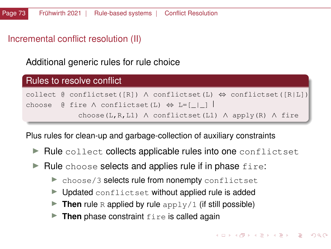### Incremental conflict resolution (II)

Additional generic rules for rule choice



Plus rules for clean-up and garbage-collection of auxiliary constraints

- $\blacktriangleright$  Rule collect collects applicable rules into one conflictset
- $\blacktriangleright$  Rule choose selects and applies rule if in phase  $fire$ :
	- $\triangleright$  choose/3 selects rule from nonempty conflictset
	- $\blacktriangleright$  Updated conflictset without applied rule is added
	- **Then** rule R applied by rule  $\alpha$ <sub>pply</sub>/1 (if still possible)
	- $\triangleright$  **Then** phase constraint  $f$ ire is called again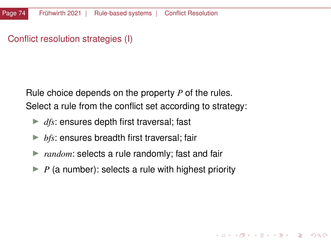### Conflict resolution strategies (I)

Rule choice depends on the property *P* of the rules. Select a rule from the conflict set according to strategy:

- $\blacktriangleright$  *dfs*: ensures depth first traversal; fast
- $\blacktriangleright$  *bfs*: ensures breadth first traversal; fair
- $\triangleright$  *random*: selects a rule randomly; fast and fair
- $\blacktriangleright$  *P* (a number): selects a rule with highest priority

イロトメ 倒 トメ ミトメ ミトー 差

 $QQ$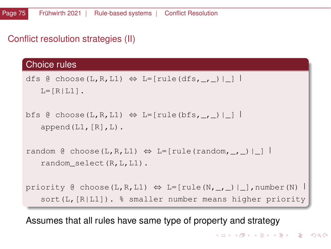# Conflict resolution strategies (II)

#### Choice rules

```
dfs @ choose(L,R,L1) \Leftrightarrow L=[rule(dfs,, )| ]
   L=[R|L1].
```

```
bfs @ choose(L,R,L1) \Leftrightarrow L=[rule(bfs,_,_)|_]
   append(L1, [R], L).
```
random @ choose(L,R,L1)  $\Leftrightarrow$  L=[rule(random, \_, \_)|\_] random\_select(R,L,L1).

```
priority @ choose(L,R,L1) \Leftrightarrow L=[rule(N,_,_)|_],number(N) |
   sort(L,[R|L1]). % smaller number means higher priority
```
Assumes that all rules have same type of property and strategy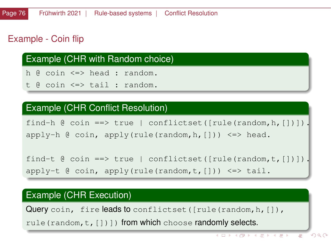# Example - Coin flip

### Example (CHR with Random choice)

h @ coin <=> head : random.

t @ coin <=> tail : random.

#### Example (CHR Conflict Resolution)

find-h  $\theta$  coin ==> true | conflictset([rule(random, h, [])]). apply-h  $\theta$  coin, apply(rule(random, h, [])) <=> head.

find-t  $\theta$  coin ==> true | conflictset([rule(random,t, [])]). apply-t @ coin, apply(rule(random,t,[])) <=> tail.

# Example (CHR Execution)

Query coin, fire leads to conflictset ([rule(random, h, []),

rule(random, t, [])]) from which choose randomly selects.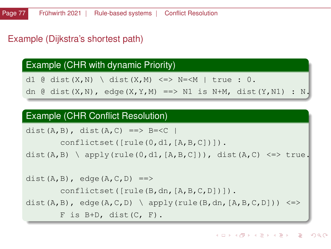#### Example (Dijkstra's shortest path)

#### Example (CHR with dynamic Priority)

d1 @ dist(X,N) \ dist(X,M) <=> N=<M | true : 0.

dn @ dist(X,N), edge(X,Y,M) ==> N1 is N+M, dist(Y,N1) : N.

#### Example (CHR Conflict Resolution)

```
dist(A,B), dist(A,C) ==> B=<C |
       conflictset([rule(0,d1,[A,B,C])]).
dist(A,B) \ apply(rule(0,d1,[A,B,C])), dist(A,C) <=> true.
dist(A,B), edge(A, C, D) ==>
       conflictset([rule(B,dn,[A,B,C,D])]).
dist(A,B), edge(A,C,D) \ apply(rule(B,dn,[A,B,C,D])) <=>
       F is B+D, dist(C, F).
```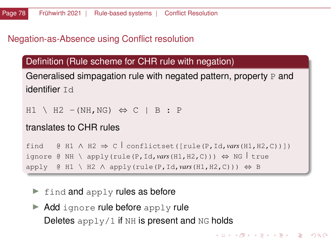# Negation-as-Absence using Conflict resolution

Definition (Rule scheme for CHR rule with negation)

Generalised simpagation rule with negated pattern, property  $P$  and identifier Id

 $H1 \setminus H2 - (NH, NG) \Leftrightarrow C \parallel B : P$ 

```
translates to CHR rules
```
find  $\theta$  H1  $\land$  H2  $\Rightarrow$  C conflictset([rule(P, Id, *vars*(H1, H2, C))]) ignore @ NH \ apply(rule(P, Id, vars(H1, H2, C)))  $\Leftrightarrow$  NG true  $apply \oplus H1 \setminus H2 \land apply(rule(P,Id,vars(H1,H2,C))) \Leftrightarrow B$ 

**KORK EXTERNE DRAM** 

- $\blacktriangleright$  find and apply rules as before
- $\blacktriangleright$  Add ignore rule before apply rule Deletes  $\text{apply}/1$  if NH is present and NG holds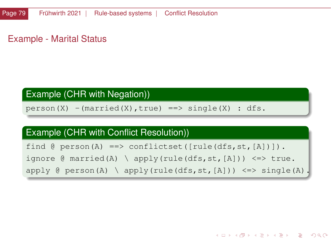Example - Marital Status

### Example (CHR with Negation))

 $person(X) - (married(X), true) \implies single(X) : dfs.$ 

#### Example (CHR with Conflict Resolution))

find  $\theta$  person(A) ==> conflictset([rule(dfs, st,[A])]). ignore  $\theta$  married(A) \ apply(rule(dfs, st, [A]))  $\leq$  > true. apply  $\theta$  person(A) \ apply(rule(dfs, st, [A])) <=> single(A).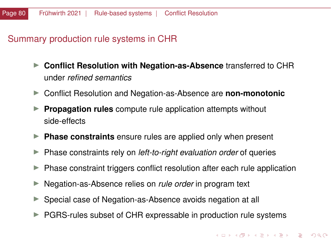### <span id="page-79-0"></span>Summary production rule systems in CHR

- ► Conflict Resolution with Negation-as-Absence transferred to CHR under *refined semantics*
- ▶ Conflict Resolution and Negation-as-Absence are **non-monotonic**
- **Propagation rules** compute rule application attempts without side-effects
- **Phase constraints** ensure rules are applied only when present
- **ID Phase constraints rely on** *left-to-right evaluation order* **of queries**
- $\blacktriangleright$  Phase constraint triggers conflict resolution after each rule application
- ▶ Negation-as-Absence relies on *rule order* in program text
- $\triangleright$  Special case of Negation-as-Absence avoids negation at all
- $\blacktriangleright$  PGRS-rules subset of CHR expressable in production rule systems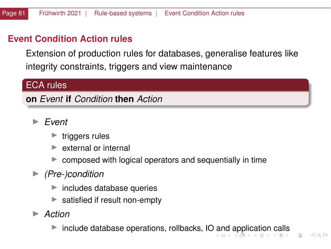# <span id="page-80-0"></span>**Event Condition Action rules**

Extension of production rules for databases, generalise features like integrity constraints, triggers and view maintenance

### ECA rules

**on** *Event* **if** *Condition* **then** *Action*

- I *Event*
	- $\blacktriangleright$  triggers rules
	- external or internal
	- composed with logical operators and sequentially in time
- ▶ *(Pre-)condition* 
	- $\blacktriangleright$  includes database queries
	- $\blacktriangleright$  satisfied if result non-empty
- ▶ *Action*

 $\triangleright$  $\triangleright$  $\triangleright$  include database operations, rollbacks, I[O a](#page-79-0)n[d](#page-81-0) a[ppl](#page-80-0)[ic](#page-81-0)a[ti](#page-48-0)[on](#page-143-0) [ca](#page-0-0)[lls](#page-143-0)

 $\Omega$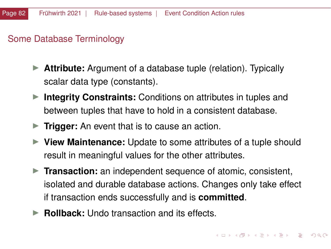# <span id="page-81-0"></span>Some Database Terminology

- **Attribute:** Argument of a database tuple (relation). Typically scalar data type (constants).
- **Integrity Constraints:** Conditions on attributes in tuples and between tuples that have to hold in a consistent database.
- **Trigger:** An event that is to cause an action.
- **IDED** View Maintenance: Update to some attributes of a tuple should result in meaningful values for the other attributes.
- **Transaction:** an independent sequence of atomic, consistent, isolated and durable database actions. Changes only take effect if transaction ends successfully and is **committed**.
- **► Rollback:** Undo transaction and its effects.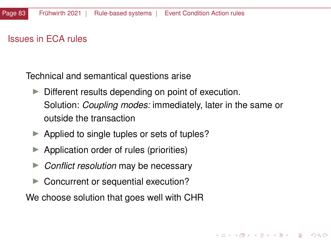# Issues in ECA rules

Technical and semantical questions arise

 $\triangleright$  Different results depending on point of execution. Solution: *Coupling modes:* immediately, later in the same or outside the transaction

 $($   $\Box$   $\rightarrow$   $($  $\Box$   $\rightarrow$   $($   $\Box$   $\rightarrow$   $\Box$   $\rightarrow$   $\Box$   $\rightarrow$ 

- $\blacktriangleright$  Applied to single tuples or sets of tuples?
- Application order of rules (priorities)
- **►** *Conflict resolution* may be necessary
- $\blacktriangleright$  Concurrent or sequential execution?

We choose solution that goes well with CHR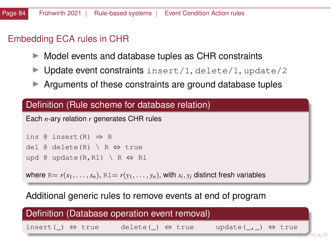# Embedding ECA rules in CHR

- $\triangleright$  Model events and database tuples as CHR constraints
- $\blacktriangleright$  Update event constraints insert/1, delete/1, update/2
- $\blacktriangleright$  Arguments of these constraints are ground database tuples

### Definition (Rule scheme for database relation)

Each *n*-ary relation *r* generates CHR rules

ins  $\theta$  insert  $(R) \Rightarrow R$ del @ delete(R) \ R ⇔ true upd @ update(R, R1) \ R  $\Leftrightarrow$  R1

where  $\text{\sc r}=r(x_1,\ldots,x_n),\,\text{\sc r}=r(y_1,\ldots,y_n),$  with  $x_i,y_j$  distinct fresh variables

### Additional generic rules to remove events at end of program

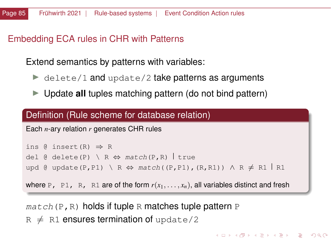# <span id="page-84-0"></span>Embedding ECA rules in CHR with Patterns

Extend semantics by patterns with variables:

- $\blacktriangleright$  delete/1 and update/2 take patterns as arguments
- ► Update **all** tuples matching pattern (do not bind pattern)

#### Definition (Rule scheme for database relation)

Each *n*-ary relation *r* generates CHR rules

```
ins \theta insert(R) \Rightarrow R
del @ delete(P) \ R \Leftrightarrow match(P,R) true
upd @ update(P,P1) \ R \Leftrightarrow match((P,P1),(R,R1)) \land R \neq R1 | R1
```
where P, P1, R, R1 are of the form  $r(x_1, \ldots, x_n)$ , all variables distinct and fresh

 $match(P, R)$  holds if tuple R matches tuple pattern P  $R \neq R1$  ensures termination of update/2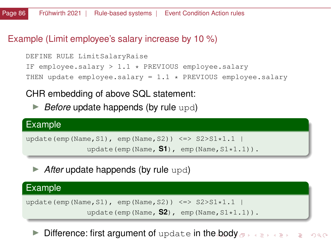### <span id="page-85-0"></span>Example (Limit employee's salary increase by 10 %)

```
DEFINE RULE LimitSalaryRaise
IF employee.salary > 1.1 \times PREVIOUS employee.salary
THEN update employee.salary = 1.1 \times PREVIOUS employee.salary
```
# CHR embedding of above SQL statement:

► *Before* update happends (by rule upd)

# Example update(emp(Name,S1), emp(Name,S2)) <=>  $S2>S1*1.1$ update(emp(Name,  $S1$ ), emp(Name,  $S1*1.1$ )).

**After update happends (by rule upd)** 

#### Example

```
update(emp(Name,S1), emp(Name,S2)) <=> S2>S1*1.1 |
```

```
update(emp(Name, S2), emp(Name, S1*1.1)).
```
Difference: first argument of update in th[e b](#page-84-0)[od](#page-86-0)[y](#page-84-0)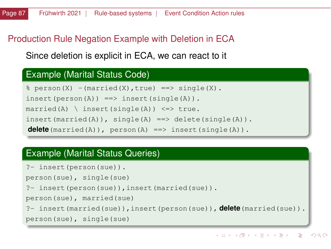# <span id="page-86-0"></span>Production Rule Negation Example with Deletion in ECA

Since deletion is explicit in ECA, we can react to it

### Example (Marital Status Code)

```
\text{...}\ person(X) -(married(X), true) ==> single(X).
insert(person(A)) == > insert(single(A)).married(A) \ insert(single(A)) \le > true.
insert(married(A)), single(A) ==> delete(single(A)).
delete(married(A)), person(A) ==> insert(single(A)).
```
# Example (Marital Status Queries)

```
?- insert(person(sue)).
```
person(sue), single(sue)

```
?- insert(person(sue)),insert(married(sue)).
```
person(sue), married(sue)

```
?- insert(married(sue)),insert(person(sue)), delete(married(sue)).
```

```
person(sue), single(sue)
```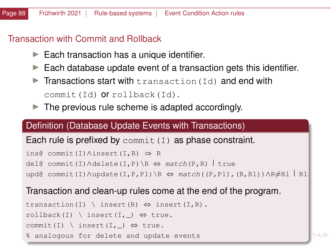### <span id="page-87-0"></span>Transaction with Commit and Rollback

- $\blacktriangleright$  Each transaction has a unique identifier.
- $\blacktriangleright$  Each database update event of a transaction gets this identifier.
- $\blacktriangleright$  Transactions start with transaction (Id) and end with commit(Id) or rollback(Id).
- $\blacktriangleright$  The previous rule scheme is adapted accordingly.

#### Definition (Database Update Events with Transactions)

### Each rule is prefixed by commit  $(I)$  as phase constraint.

```
ins@ commit(I)∧insert(I,R) ⇒ R
del@ commit(I)∧delete(I,P)\R ⇔ match(P,R) true
upd@ commit(I)∧update(I,P,P1)\R ⇔ match((P,P1),(R,R1))∧R≠R1 R1
```
#### Transaction and clean-up rules come at the end of the program.

```
transaction(I) \ insert(R) \Leftrightarrow insert(I,R).
rollback(I) \ insert(I, ) \Leftrightarrow true.
commit(I) \ insert(I, _) \Leftrightarrow true.
% analogous for delete and update events
```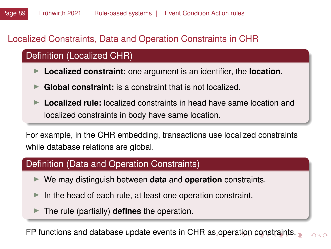# <span id="page-88-0"></span>Localized Constraints, Data and Operation Constraints in CHR

# Definition (Localized CHR)

- I **Localized constraint:** one argument is an identifier, the **location**.
- **Global constraint:** is a constraint that is not localized.
- Localized rule: localized constraints in head have same location and localized constraints in body have same location.

For example, in the CHR embedding, transactions use localized constraints while database relations are global.

### Definition (Data and Operation Constraints)

- I We may distinguish between **data** and **operation** constraints.
- $\blacktriangleright$  In the head of each rule, at least one operation constraint.
- I The rule (partially) **defines** the operation.

FP functions and database update events in CHR a[s o](#page-87-0)[pe](#page-89-0)[ra](#page-87-0)[tio](#page-88-0)[n](#page-89-0) [c](#page-47-0)[o](#page-48-0)[ns](#page-143-0)[tra](#page-0-0)[int](#page-143-0)[s.](#page-0-0)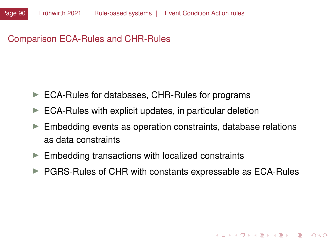# <span id="page-89-0"></span>Comparison ECA-Rules and CHR-Rules

- $\blacktriangleright$  ECA-Rules for databases, CHR-Rules for programs
- $\blacktriangleright$  ECA-Rules with explicit updates, in particular deletion
- $\blacktriangleright$  Embedding events as operation constraints, database relations as data constraints
- $\blacktriangleright$  Embedding transactions with localized constraints
- $\triangleright$  PGRS-Rules of CHR with constants expressable as ECA-Rules

 $\mathbf{A} \cap \mathbf{B} \rightarrow \mathbf{A} \oplus \mathbf{B} \rightarrow \mathbf{A} \oplus \mathbf{B} \rightarrow \mathbf{A} \oplus \mathbf{B}$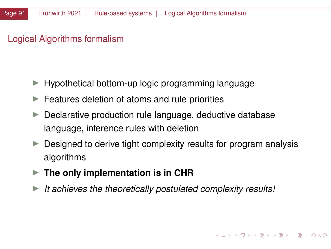# Logical Algorithms formalism

- $\blacktriangleright$  Hypothetical bottom-up logic programming language
- $\blacktriangleright$  Features deletion of atoms and rule priorities
- $\blacktriangleright$  Declarative production rule language, deductive database language, inference rules with deletion
- $\triangleright$  Designed to derive tight complexity results for program analysis algorithms
- **Fig. 3** The only implementation is in CHR
- It achieves the theoretically postulated complexity results!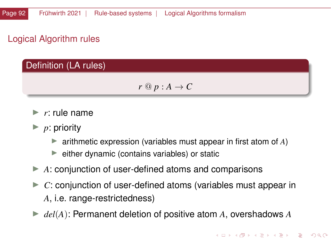# Logical Algorithm rules

# Definition (LA rules)

$$
r @ p : A \to C
$$

- $\blacktriangleright$  *r*: rule name
- $\blacktriangleright$  *p*: priority
	- $\triangleright$  arithmetic expression (variables must appear in first atom of A)
	- $\blacktriangleright$  either dynamic (contains variables) or static
- $\blacktriangleright$  A: conjunction of user-defined atoms and comparisons
- $\triangleright$  *C*: conjunction of user-defined atoms (variables must appear in *A*, i.e. range-restrictedness)
- $\blacktriangleright$  *del*(*A*): Permanent deletion of positive atom *A*, overshadows *A*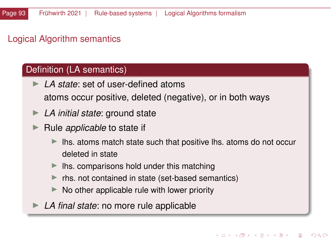# Logical Algorithm semantics

### Definition (LA semantics)

- **►** *LA state*: set of user-defined atoms atoms occur positive, deleted (negative), or in both ways
- ► LA *initial state*: ground state
- **In** Rule *applicable* to state if
	- Ihs. atoms match state such that positive lhs. atoms do not occur deleted in state
	- Ihs. comparisons hold under this matching
	- rhs. not contained in state (set-based semantics)
	- No other applicable rule with lower priority
	- LA *final state*: no more rule applicable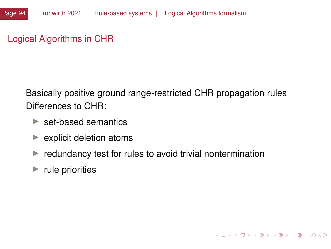# <span id="page-93-0"></span>Logical Algorithms in CHR

Basically positive ground range-restricted CHR propagation rules Differences to CHR:

- $\blacktriangleright$  set-based semantics
- $\blacktriangleright$  explicit deletion atoms
- $\blacktriangleright$  redundancy test for rules to avoid trivial nontermination

K ロ > K @ ▶ K ミ ▶ K ミ ▶ │ ミ │ ◆ 9,9,0°

 $\blacktriangleright$  rule priorities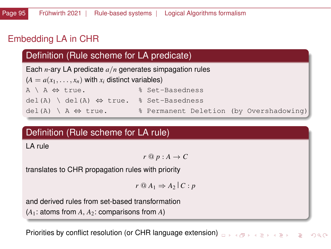# Embedding LA in CHR

# Definition (Rule scheme for LA predicate)

Each *n*-ary LA predicate *a*/*n* generates simpagation rules

 $(A = a(x_1, \ldots, x_n)$  with  $x_i$  distinct variables)

A \ A ⇔ true. % Set-Basedness

del(A) \ del(A) ⇔ true. % Set-Basedness

del(A)  $\setminus$  A  $\Leftrightarrow$  true.  $\ast$  Permanent Deletion (by Overshadowing)

# Definition (Rule scheme for LA rule)

LA rule

*r* @ *p* : *A* → *C*

translates to CHR propagation rules with priority

*r* @ *A*<sup>1</sup> ⇒ *A*<sup>2</sup> *C* : *p*

and derived rules from set-based transformation  $(A_1:$  atoms from  $A, A_2:$  comparisons from  $A)$ 

**Priorities by conflict resolution (or CHR language extensio[n\)](#page-93-0) allowing the service of the service of the service**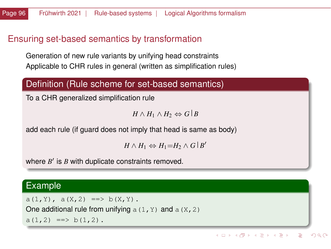### Ensuring set-based semantics by transformation

Generation of new rule variants by unifying head constraints Applicable to CHR rules in general (written as simplification rules)

#### Definition (Rule scheme for set-based semantics)

To a CHR generalized simplification rule

*H* ∧ *H*<sub>1</sub> ∧ *H*<sub>2</sub>  $\Leftrightarrow$  *G*  $\mid$  *B* 

add each rule (if guard does not imply that head is same as body)

 $H \wedge H_1 \Leftrightarrow H_1 = H_2 \wedge G \mid B'$ 

where  $B'$  is  $B$  with duplicate constraints removed.

#### Example

 $a(1, Y)$ ,  $a(X, 2) == b(X, Y)$ .

One additional rule from unifying  $a(1, Y)$  and  $a(X, 2)$ 

 $a(1,2) \implies b(1,2)$ .

イロトメ 伊 トメ 君 トメ 君 トー 君  $QQ$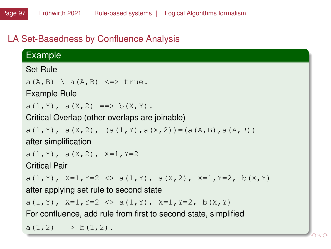# LA Set-Basedness by Confluence Analysis

# Example

Set Rule

 $a(A, B) \setminus a(A, B) \leqslant$  true.

Example Rule

 $a(1, Y)$ ,  $a(X, 2) == b(X, Y)$ .

Critical Overlap (other overlaps are joinable)

 $a(1, Y)$ ,  $a(X, 2)$ ,  $(a(1, Y), a(X, 2)) = (a(A, B), a(A, B))$ 

after simplification

 $a(1,Y)$ ,  $a(X,2)$ ,  $X=1, Y=2$ 

Critical Pair

```
a(1, Y), X=1, Y=2 \langle \rangle a(1, Y), a(X, 2), X=1, Y=2, b(X, Y)
```
after applying set rule to second state

a(1, Y), X=1, Y=2  $\langle \rangle$  a(1, Y), X=1, Y=2, b(X, Y)

For confluence, add rule from first to second state, simplified

 $a(1,2) \implies b(1,2)$ .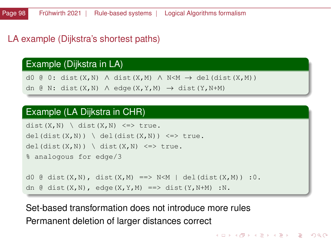#### LA example (Dijkstra's shortest paths)

#### Example (Dijkstra in LA)

d0 @ 0: dist(X,N) ∧ dist(X,M) ∧ N<M  $\rightarrow$  del(dist(X,M)) dn @ N: dist(X,N)  $\land$  edge(X,Y,M)  $\rightarrow$  dist(Y,N+M)

#### Example (LA Dijkstra in CHR)

```
dist(X,N) \setminus dist(X,N) \leq > true.del(dist(X,N)) \ del(dist(X,N)) <=> true.
del(dist(X,N)) \setminus dist(X,N) \iff true.% analogous for edge/3
d0 @ dist(X,N), dist(X,M) ==> N<M | del(dist(X,M)) :0.
dn \theta dist(X,N), edge(X,Y,M) ==> dist(Y,N+M) :N.
```
Set-based transformation does not introduce more rules Permanent deletion of larger distances correct

イロト イ団 トイミト イミト ニミー りんぴ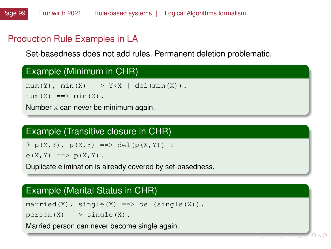# Production Rule Examples in LA

Set-basedness does not add rules. Permanent deletion problematic.

|  | Example (Minimum in CHR) |  |
|--|--------------------------|--|
|--|--------------------------|--|

num(Y), min(X) ==>  $Y < X$  | del(min(X)).

 $num(X) == > min(X)$ .

Number X can never be minimum again.

# Example (Transitive closure in CHR)

 $\frac{1}{2}$  p(X, Y), p(X, Y) = > del(p(X, Y)) ?

 $e(X, Y) \implies p(X, Y)$ .

Duplicate elimination is already covered by set-basedness.

# Example (Marital Status in CHR)

 $married(X)$ ,  $single(X) ==> del(single(X)).$ 

 $person(X) ==> single(X)$ .

Married person can never become single again.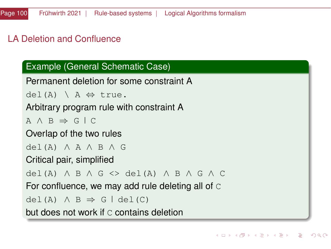# LA Deletion and Confluence

# Example (General Schematic Case)

```
Permanent deletion for some constraint A
```

```
del(A) \setminus A \Leftrightarrow true.
```
# Arbitrary program rule with constraint A

```
A \wedge B \Rightarrow G \wedge C
```
### Overlap of the two rules

```
del(A) ∧ A ∧ B ∧ G
```
### Critical pair, simplified

```
del(A) ∧ B ∧ G <> del(A) ∧ B ∧ G ∧ C
```
For confluence, we may add rule deleting all of C

```
del(A) \wedge B \Rightarrow G | det(C)
```

```
but does not work if C contains deletion
```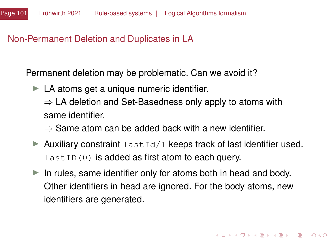### Non-Permanent Deletion and Duplicates in LA

Permanent deletion may be problematic. Can we avoid it?

 $\blacktriangleright$  LA atoms get a unique numeric identifier.

 $\Rightarrow$  LA deletion and Set-Basedness only apply to atoms with same identifier.

 $\Rightarrow$  Same atom can be added back with a new identifier.

- $\blacktriangleright$  Auxiliary constraint lastId/1 keeps track of last identifier used.  $lastID(0)$  is added as first atom to each query.
- $\blacktriangleright$  In rules, same identifier only for atoms both in head and body. Other identifiers in head are ignored. For the body atoms, new identifiers are generated.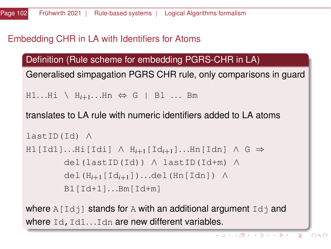# Embedding CHR in LA with Identifiers for Atoms

Definition (Rule scheme for embedding PGRS-CHR in LA)

Generalised simpagation PGRS CHR rule, only comparisons in guard

H1...Hi \ H<sub>i+1</sub>...Hn ⇔ G | B1 ... Bm

translates to LA rule with numeric identifiers added to LA atoms

```
lastID(Id) ∧
H1[Id1]. . .Hi[Idi] ∧ Hi+1[Idi+1]. . .Hn[Idn] ∧ G ⇒
       del(lastID(Id)) ∧ lastID(Id+m) ∧
       del(Hi+1[Idi+1]). . .del(Hn[Idn]) ∧
       B1[Id+1]...Bm[Id+m]
```
where  $A[\text{Id}]$  stands for A with an additional argument  $Id$  and where  $Id$ ,  $Id1...Idn$  are new different variables.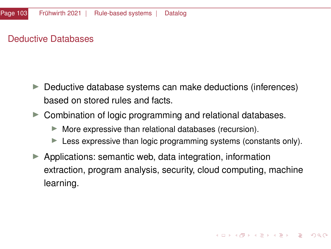# Deductive Databases

- $\blacktriangleright$  Deductive database systems can make deductions (inferences) based on stored rules and facts.
- $\triangleright$  Combination of logic programming and relational databases.
	- $\blacktriangleright$  More expressive than relational databases (recursion).
	- $\blacktriangleright$  Less expressive than logic programming systems (constants only).
- $\blacktriangleright$  Applications: semantic web, data integration, information extraction, program analysis, security, cloud computing, machine learning.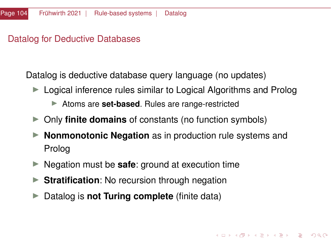### Datalog for Deductive Databases

Datalog is deductive database query language (no updates)

- $\blacktriangleright$  Logical inference rules similar to Logical Algorithms and Prolog
	- ▶ Atoms are **set-based**. Rules are range-restricted
- ▶ Only **finite domains** of constants (no function symbols)
- **Nonmonotonic Negation** as in production rule systems and Prolog
- ► Negation must be **safe**: ground at execution time
- **Stratification:** No recursion through negation
- ▶ Datalog is **not Turing complete** (finite data)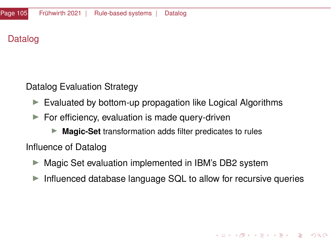# Datalog

Datalog Evaluation Strategy

- $\triangleright$  Evaluated by bottom-up propagation like Logical Algorithms
- $\blacktriangleright$  For efficiency, evaluation is made query-driven
	- ▶ **Magic-Set** transformation adds filter predicates to rules

Influence of Datalog

- $\triangleright$  Magic Set evaluation implemented in IBM's DB2 system
- $\triangleright$  Influenced database language SQL to allow for recursive queries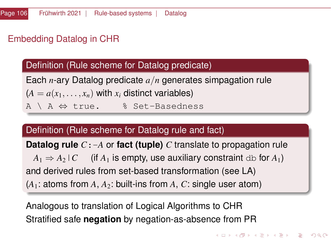# <span id="page-105-0"></span>Embedding Datalog in CHR

# Definition (Rule scheme for Datalog predicate)

Each *n*-ary Datalog predicate *a*/*n* generates simpagation rule  $(A = a(x_1, \ldots, x_n)$  with  $x_i$  distinct variables) A \ A ⇔ true. % Set-Basedness

# Definition (Rule scheme for Datalog rule and fact)

**Datalog rule** *C*:-*A* or **fact (tuple)** *C* translate to propagation rule

 $A_1 \Rightarrow A_2 \mid C$  (if  $A_1$  is empty, use auxiliary constraint db for  $A_1$ ) and derived rules from set-based transformation (see LA)

 $(A_1:$  atoms from  $A_1: A_2:$  built-ins from  $A_1: C:$  single user atom)

Analogous to translation of Logical Algorithms to CHR Stratified safe **negation** by negation-as-absence from PR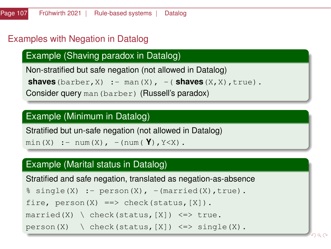# <span id="page-106-0"></span>Examples with Negation in Datalog

# Example (Shaving paradox in Datalog)

Non-stratified but safe negation (not allowed in Datalog)

```
\mathbf{shaves}(\text{barber}, X) \coloneqq \text{man}(X), -(\mathbf{shaves}(X, X), \text{true}).
```
Consider query man(barber) (Russell's paradox)

### Example (Minimum in Datalog)

Stratified but un-safe negation (not allowed in Datalog)

 $min(X)$  : -  $num(X)$ , -( $num(Y)$ ,  $Y\leq X$ ).

### Example (Marital status in Datalog)

```
Stratified and safe negation, translated as negation-as-absence
s single(X) :- person(X), -(married(X), true).
fire, person(X) ==> check(status, [X]).married(X) \ check(status, [X]) <=> true.
gle(X).
```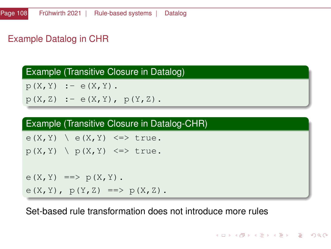# <span id="page-107-0"></span>Example Datalog in CHR

Example (Transitive Closure in Datalog)

```
p(X, Y) :- e(X, Y).
```
 $p(X, Z)$  :-  $e(X, Y)$ ,  $p(Y, Z)$ .

### Example (Transitive Closure in Datalog-CHR)

 $e(X, Y) \setminus e(X, Y) \leq v$  true.

```
p(X, Y) \geq p(X, Y) \leq \geq true.
```
 $e(X, Y) \implies p(X, Y)$ .  $e(X, Y)$ ,  $p(Y, Z) == > p(X, Z)$ .

Set-based rule transformation does not introduce more rules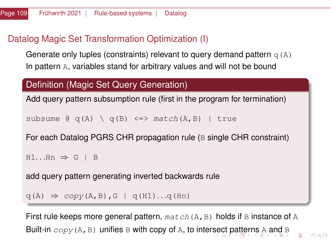# <span id="page-108-0"></span>Datalog Magic Set Transformation Optimization (I)

Generate only tuples (constraints) relevant to query demand pattern  $q(A)$ In pattern A, variables stand for arbitrary values and will not be bound

## Definition (Magic Set Query Generation)

Add query pattern subsumption rule (first in the program for termination)

```
subsume \theta q(A) \qquad q(B) \leq => match(A,B) | true
```
For each Datalog PGRS CHR propagation rule (B single CHR constraint)

```
H1...Hn \Rightarrow G \mid B
```
add query pattern generating inverted backwards rule

```
q(A) \Rightarrow copy(A, B), G | q(H1)...q(Hn)
```
First rule keeps more general pattern,  $match(A, B)$  holds if B instance of A Built-i[n](#page-47-0)  $\text{copy}(A, B)$  $\text{copy}(A, B)$  $\text{copy}(A, B)$  $\text{copy}(A, B)$  $\text{copy}(A, B)$  unifies B with copy of A, to inter[se](#page-107-0)c[t p](#page-109-0)[a](#page-143-0)[tte](#page-108-0)[r](#page-109-0)n[s](#page-48-0) A a[nd](#page-0-0) B

 $\Omega$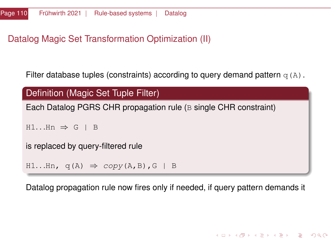# <span id="page-109-0"></span>Datalog Magic Set Transformation Optimization (II)

Filter database tuples (constraints) according to query demand pattern  $q(A)$ .

```
Definition (Magic Set Tuple Filter)
Each Datalog PGRS CHR propagation rule (B single CHR constraint)
H1...Hn \Rightarrow G \mid Bis replaced by query-filtered rule
H1...Hn, q(A) \Rightarrow copy(A, B), G \mid B
```
Datalog propagation rule now fires only if needed, if query pattern demands it

**KORK CREAKER DE VOOR**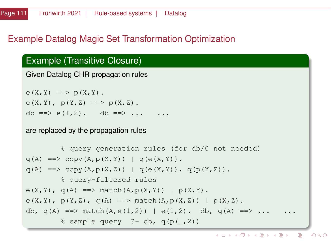## Example Datalog Magic Set Transformation Optimization

#### Example (Transitive Closure)

```
Given Datalog CHR propagation rules
```
 $e(X, Y) \implies p(X, Y)$ .  $e(X, Y)$ ,  $p(Y, Z) == > p(X, Z)$ . db ==>  $e(1,2)$ . db ==> ... ..

are replaced by the propagation rules

```
% query generation rules (for db/0 not needed)
q(A) \implies \text{copy}(A, p(X, Y)) \mid q(e(X, Y)).q(A) \implies \text{copy}(A, p(X, Z)) \mid q(e(X, Y)), q(p(Y, Z)).% query-filtered rules
e(X, Y), q(A) \implies \text{match}(A, p(X, Y)) | p(X, Y).
e(X, Y), p(Y, Z), q(A) == > match(A, p(X, Z)) | p(X, Z).
db, q(A) ==> match(A,e(1,2)) | e(1,2). db, q(A) ==> ...
         \text{sample query} ?- db, q(p(,2))
```
 $\mathbf{A} \otimes \mathbf{A} \otimes \mathbf{A} \otimes \mathbf{A} \otimes \mathbf{A} \otimes \mathbf{A} \otimes \mathbf{A} \otimes \mathbf{A} \otimes \mathbf{A} \otimes \mathbf{A} \otimes \mathbf{A} \otimes \mathbf{A} \otimes \mathbf{A} \otimes \mathbf{A} \otimes \mathbf{A} \otimes \mathbf{A} \otimes \mathbf{A} \otimes \mathbf{A} \otimes \mathbf{A} \otimes \mathbf{A} \otimes \mathbf{A} \otimes \mathbf{A} \otimes \mathbf{A} \otimes \mathbf{A} \otimes \mathbf{$  $QQ$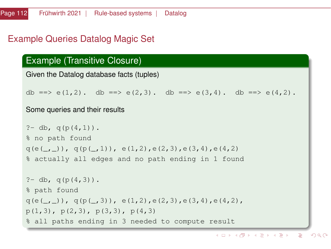#### Example Queries Datalog Magic Set

## Example (Transitive Closure)

```
Given the Datalog database facts (tuples)
```
db ==> e(1,2). db ==> e(2,3). db ==> e(3,4). db ==> e(4,2).

#### Some queries and their results

```
?- db, q(p(4,1)).
% no path found
q(e(\_1)), q(p(\_1)), e(1,2), e(2,3), e(3,4), e(4,2)% actually all edges and no path ending in 1 found
?- db, q(p(4,3)).
% path found
q(e(, )), q(p(, 3)), e(1,2), e(2,3), e(3,4), e(4,2),
p(1,3), p(2,3), p(3,3), p(4,3)% all paths ending in 3 needed to compute result
```
イロト イ押 トイヨ トイヨト E.  $QQ$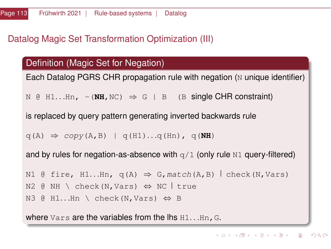### Datalog Magic Set Transformation Optimization (III)

#### Definition (Magic Set for Negation)

Each Datalog PGRS CHR propagation rule with negation (N unique identifier)

 $N \oplus H1...Hn$ ,  $-(NH, NC) \Rightarrow G \oplus B$  (B single CHR constraint)

is replaced by query pattern generating inverted backwards rule

```
q(A) \Rightarrow copy(A, B) | q(H1)...q(Hn), q(\textbf{NH})
```
and by rules for negation-as-absence with  $q/1$  (only rule N1 query-filtered)

```
N1 @ fire, H1...Hn, q(A) \Rightarrow G, match(A, B) check(N, Vars)
N2 \in NH \setminus check(N,Vars) \Leftrightarrow NC true
N3 @ H1...Hn \ check(N,Vars) \Leftrightarrow B
```
where  $Vars$  are the variables from the lhs  $H1...Hn$ , G.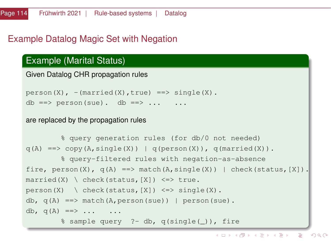# Example Datalog Magic Set with Negation

#### Example (Marital Status)

```
Given Datalog CHR propagation rules
```
 $person(X)$ ,  $-(married(X)$ ,  $true)$  ==> single(X). db ==> person(sue). db ==> ... ..

#### are replaced by the propagation rules

```
% query generation rules (for db/0 not needed)
q(A) ==> copy(A, single(X)) | q(person(X)), q(married(X)).
         % query-filtered rules with negation-as-absence
fire, person(X), q(A) == > match(A, single(X)) | check(status,[X]).
married(X) \setminus check(status, [X]) \leq > true.person(X) \setminus check(status, [X]) \leq>> single(X).
db, q(A) \implies \text{match}(A, \text{person}(sue)) | person(sue).
db, q(A) \implies \ldots \ldots% sample query ?- db, q(single(_)), fire
```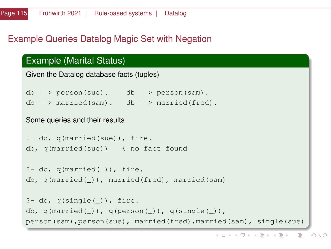# Example Queries Datalog Magic Set with Negation

#### Example (Marital Status)

```
Given the Datalog database facts (tuples)
db ==> person(sue). db ==> person(sam).
db == married(sam). db == married(fred).
Some queries and their results
?- db, q(married(sue)), fire.
db, q(married(sue)) % no fact found
?- db, q(\text{married}(\_)), fire.
db, q(married(_)), married(fred), married(sam)
?- db, q(single(_)), fire.
db, q(\text{married}(\_)), q(\text{person}(\_)), q(\text{single}(\_)),
person(sam),person(sue), married(fred),married(sam), single(sue)
```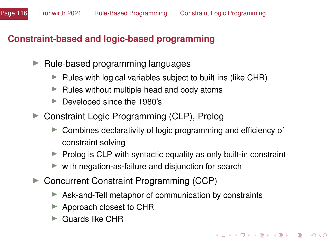## **Constraint-based and logic-based programming**

- $\blacktriangleright$  Rule-based programming languages
	- $\blacktriangleright$  Rules with logical variables subject to built-ins (like CHR)
	- $\blacktriangleright$  Rules without multiple head and body atoms
	- $\blacktriangleright$  Developed since the 1980's
- ▶ Constraint Logic Programming (CLP), Prolog
	- $\triangleright$  Combines declarativity of logic programming and efficiency of constraint solving
	- $\triangleright$  Prolog is CLP with syntactic equality as only built-in constraint
	- $\blacktriangleright$  with negation-as-failure and disjunction for search
- ▶ Concurrent Constraint Programming (CCP)
	- $\triangleright$  Ask-and-Tell metaphor of communication by constraints
	- $\blacktriangleright$  Approach closest to CHR
	- $\blacktriangleright$  Guards like CHR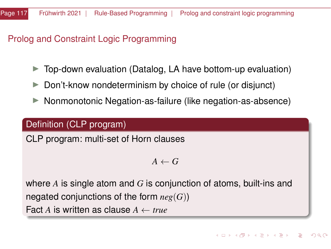Prolog and Constraint Logic Programming

- Top-down evaluation (Datalog, LA have bottom-up evaluation)
- $\triangleright$  Don't-know nondeterminism by choice of rule (or disjunct)
- ▶ Nonmonotonic Negation-as-failure (like negation-as-absence)

## Definition (CLP program)

CLP program: multi-set of Horn clauses

 $A \leftarrow G$ 

where *A* is single atom and *G* is conjunction of atoms, built-ins and negated conjunctions of the form *neg*(*G*)) Fact *A* is written as clause *A* ← *true*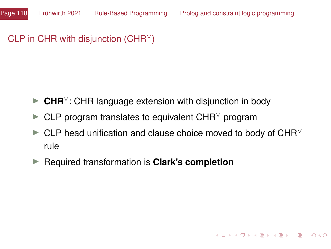CLP in CHR with disjunction (CHR $\vee$ )

- **► CHR**<sup>∨</sup>: CHR language extension with disjunction in body
- $\blacktriangleright$  CLP program translates to equivalent CHR $\vee$  program
- $\blacktriangleright$  CLP head unification and clause choice moved to body of CHR<sup> $\lor$ </sup> rule

 $\mathbf{A} \otimes \mathbf{A} \otimes \mathbf{A} \otimes \mathbf{A} \otimes \mathbf{A} \otimes \mathbf{A} \otimes \mathbf{A} \otimes \mathbf{A} \otimes \mathbf{A} \otimes \mathbf{A} \otimes \mathbf{A} \otimes \mathbf{A} \otimes \mathbf{A} \otimes \mathbf{A} \otimes \mathbf{A} \otimes \mathbf{A} \otimes \mathbf{A} \otimes \mathbf{A} \otimes \mathbf{A} \otimes \mathbf{A} \otimes \mathbf{A} \otimes \mathbf{A} \otimes \mathbf{A} \otimes \mathbf{A} \otimes \mathbf{$ 

 $\Omega$ 

▶ Required transformation is **Clark's completion**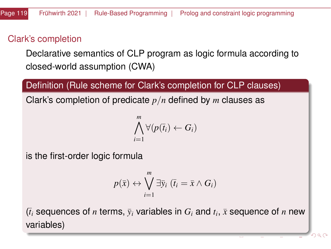# Clark's completion

Declarative semantics of CLP program as logic formula according to closed-world assumption (CWA)

#### Definition (Rule scheme for Clark's completion for CLP clauses)

Clark's completion of predicate *p*/*n* defined by *m* clauses as

$$
\bigwedge_{i=1}^m \forall (p(\overline{t}_i) \leftarrow G_i)
$$

is the first-order logic formula

$$
p(\bar{x}) \leftrightarrow \bigvee_{i=1}^{m} \exists \bar{y}_i \ (\bar{t}_i = \bar{x} \land G_i)
$$

 $(\bar{t}_i$  sequences of *n* terms,  $\bar{y}_i$  variables in  $G_i$  and  $t_i$ ,  $\bar{x}$  sequence of *n* new variables)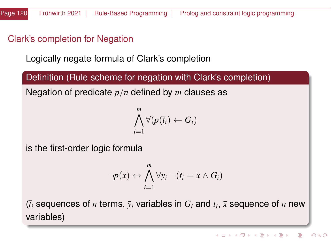# Clark's completion for Negation

Logically negate formula of Clark's completion

Definition (Rule scheme for negation with Clark's completion)

Negation of predicate *p*/*n* defined by *m* clauses as

$$
\bigwedge_{i=1}^m \forall (p(\overline{t}_i) \leftarrow G_i)
$$

is the first-order logic formula

$$
\neg p(\bar{x}) \leftrightarrow \bigwedge_{i=1}^m \forall \bar{y}_i \neg (\bar{t}_i = \bar{x} \land G_i)
$$

 $(\bar{t}_i$  sequences of *n* terms,  $\bar{y}_i$  variables in  $G_i$  and  $t_i$ ,  $\bar{x}$  sequence of *n* new variables)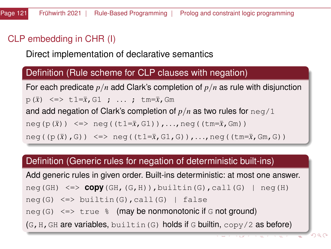# CLP embedding in CHR (I)

Direct implementation of declarative semantics

#### Definition (Rule scheme for CLP clauses with negation)

For each predicate *p*/*n* add Clark's completion of *p*/*n* as rule with disjunction p(¯*x*) <=> t1=¯*x*,G1 ; . . . ; tm=¯*x*,Gm and add negation of Clark's completion of *p*/*n* as two rules for neg/1 neg(p( $\bar{x}$ )) <=> neg((t1= $\bar{x}$ ,G1)),...,neg((tm= $\bar{x}$ ,Gm)) neg((p $(\bar{x})$ ,G)) <=> neg((t1= $\bar{x}$ ,G1,G)),...,neg((tm= $\bar{x}$ ,Gm,G))

#### Definition (Generic rules for negation of deterministic built-ins)

Add generic rules in given order. Built-ins deterministic: at most one answer. neg(GH) <=> **copy**(GH,(G,H)),builtin(G),call(G) | neg(H) neg(G)  $\le$  > builtin(G), call(G) | false neg(G)  $\le$   $\ge$  true  $\frac{1}{6}$  (may be nonmonotonic if G not ground)  $(G,H,GH$  are variables, builtin(G) holds if G builtin,  $copy/2$  as before)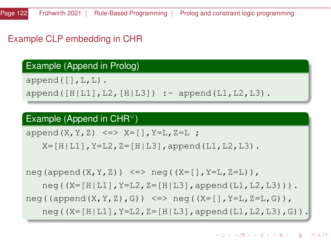# Example CLP embedding in CHR

#### Example (Append in Prolog)

 $append([], L, L)$ .

 $append([H|L1], L2, [H|L3])$  : - append(L1, L2, L3).

#### Example (Append in CHR<sup>∨</sup>)

append $(X, Y, Z) \leq \geq X= [$ ,  $Y=L, Z=L$ ;

 $X=[H|L1]$ ,  $Y=L2$ ,  $Z=[H|L3]$ , append(L1, L2, L3).

 $neg(append(X,Y,Z)) \leq \geq neq((X=[],Y=L,Z=L)),$  $neq$  ((X=[H|L1], Y=L2, Z=[H|L3], append(L1, L2, L3))). neg((append $(X, Y, Z)$ , G))  $\le$   $\ge$  neg((X=[], Y=L, Z=L, G)),  $neg((X=[H|L1], Y=L2, Z=[H|L3], append(L1, L2, L3), G)).$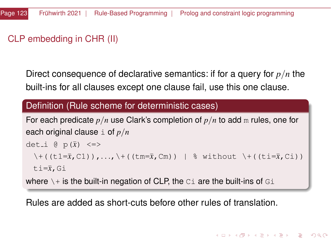# CLP embedding in CHR (II)

Direct consequence of declarative semantics: if for a query for *p*/*n* the built-ins for all clauses except one clause fail, use this one clause.

#### Definition (Rule scheme for deterministic cases)

```
For each predicate p/n use Clark's completion of p/n to add m rules, one for
each original clause i of p/n
det<sub>-</sub>i \theta p(\bar{x}) <=>
```

```
\setminus+((t1=\bar{x},C1)),..., \+((tm=\bar{x},Cm)) | % without \+((ti=\bar{x},Ci))
```

```
ti=\bar{x}, Gi
```
where  $\setminus +$  is the built-in negation of CLP, the  $C_i$  are the built-ins of  $G_i$ 

Rules are added as short-cuts before other rules of translation.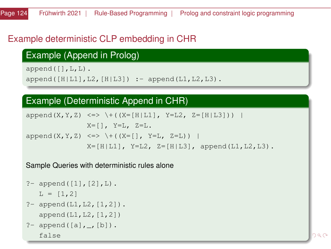# Example deterministic CLP embedding in CHR

# Example (Append in Prolog)

 $append([], L, L)$ .  $append([H|L1], L2, [H|L3])$  :- append(L1, L2, L3).

#### Example (Deterministic Append in CHR)

```
append(X, Y, Z) \iff \{(X=[H|LI], Y=L2, Z=[H|L3])\}X=[ ], Y=L, Z=L.
append(X, Y, Z) \le \rightarrow \setminus + ((X=[], Y=L, Z=L))
                 X = [H|I_1], Y = I_2, Z = [H|I_3], append(I.1, I.2, I.3).
```
Sample Queries with deterministic rules alone

```
?- append([1],[2],L).
  L = [1, 2]?- append(L1, L2, [1, 2]).
  append(L1,L2,[1,2])
?- append([a], [b]).
```
false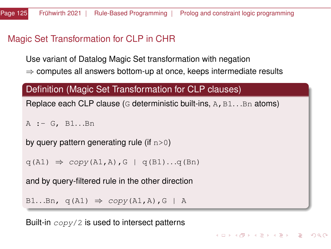#### Magic Set Transformation for CLP in CHR

Use variant of Datalog Magic Set transformation with negation

 $\Rightarrow$  computes all answers bottom-up at once, keeps intermediate results

#### Definition (Magic Set Transformation for CLP clauses)

Replace each CLP clause (G deterministic built-ins,  $A$ ,  $B1...Bn$  atoms)

KED KARD KED KED A BLADA

```
A := G. B1...Bn
```
by query pattern generating rule (if  $n>0$ )

```
q(A1) \Rightarrow copy(A1, A), G | q(B1)...q(Bn)
```
and by query-filtered rule in the other direction

```
B1...Bn, q(A1) \Rightarrow copy(A1, A), G \mid A
```
Built-in  $\exp(y/2)$  is used to intersect patterns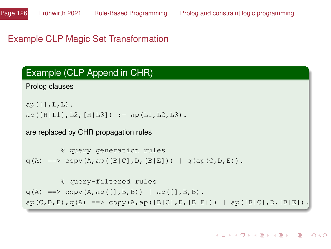```
% query generation rules
q(A) \implies \text{copy}(A, ap([B|C], D, [B|E])) \mid q(ap(C, D, E)).% query-filtered rules
q(A) ==> copy(A, ap([], B, B)) | ap([], B, B).
ap(C, D, E), q(A) \implies copy(A, ap([B|C], D, [B|E])) | ap([B|C], D, [B|E]).
```
are replaced by CHR propagation rules

```
ap([l,L,L]).
ap([H|L1], L2, [H|L3]) : - ap(L1, L2, L3).
```
Prolog clauses

# Example CLP Magic Set Transformation

Example (CLP Append in CHR)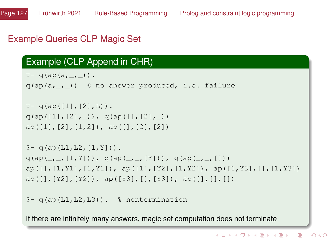# <span id="page-126-0"></span>Example Queries CLP Magic Set

#### Example (CLP Append in CHR)

```
? - q(ap(a, \ldots)).
q(ap(a, , )) % no answer produced, i.e. failure
? - q(a p([1], [2], L)).
q(a p([1],[2],)), q(a p([1,[2],)))ap([1],[2],[1,2]), ap([1,[2],[2])? - q(ap(L1,L2,[1,Y])).
q(ap(\_,\_,[1,Y])), q(ap(\_,\_,[Y])), q(ap(\_,\_,[])ap([], [1, Y1], [1, Y1]), ap([1], [Y2], [1, Y2]), ap([1, Y3], [1, Y3])ap([], [Y2], [Y2]), ap([Y3], [], [Y3]), ap([], [], []?- q(ap(L1, L2, L3)). % nontermination
```
If there are infinitely many answers, magic set computation does not terminate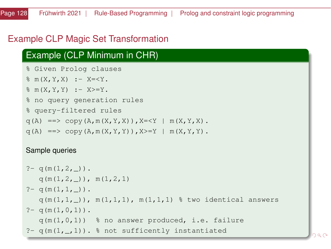## <span id="page-127-0"></span>Example CLP Magic Set Transformation

## Example (CLP Minimum in CHR)

```
% Given Prolog clauses
```

```
m(X, Y, X) : - X=<Y.
```

```
m(X, Y, Y) : - X>=Y.
```

```
% no query generation rules
```

```
% query-filtered rules
```

```
\alpha(A) ==> copy(A,m(X,Y,X)),X=<Y | m(X,Y,X).
```

```
q(A) ==> copy(A, m(X, Y, Y)), X>=Y | m(X, Y, Y).
```
#### Sample queries

```
? - q(m(1,2,)).
  q(m(1,2,)), m(1,2,1)? - q(m(1,1,-)).
  q(m(1,1,-)), m(1,1,1), m(1,1,1) % two identical answers
? - q(m(1, 0, 1)).
  q(m(1,0,1)) % no answer produced, i.e. failure
?- q(m(1, 1))ted
```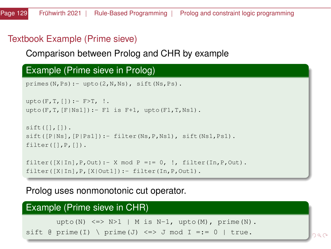# <span id="page-128-0"></span>Textbook Example (Prime sieve)

#### Comparison between Prolog and CHR by example

#### Example (Prime sieve in Prolog)

```
primes(N,Ps):- upto(2,N,Ns), sift(Ns,Ps).
```

```
upto(F, T, []) : - F>T, !.
upto(F.T.[F|Ns1]):- F1 is F+1, upto(F1.T.Ns1).
```

```
sift([],[]).sift([P|Ns],[P|Ps1]):- filter(Ns,P,Ns1), sift(Ns1,Ps1).
filter([],P,[]).
```

```
filter([X|In], P, Out):- X mod P ::= 0, !, filter(In, P, Out).filter([X|In],P,[X|Out1]):- filter(In,P,Out1).
```
#### Prolog uses nonmonotonic cut operator.

| Example (Prime sieve in CHR)                              |  |
|-----------------------------------------------------------|--|
| upto (N) $\le$ > N>1   M is N-1, upto (M), prime (N).     |  |
| sift @ prime(I) \ prime(J) $\leq$ > J mod I =:= 0   true. |  |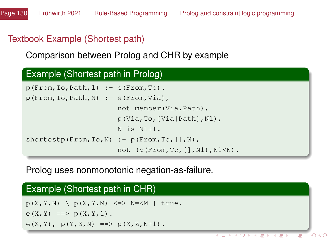# <span id="page-129-0"></span>Textbook Example (Shortest path)

Comparison between Prolog and CHR by example

## Example (Shortest path in Prolog)  $p(From, To, Path, 1) := e(From, To)$ . p(From,To,Path,N) :- e(From,Via), not member(Via,Path), p(Via,To,[Via|Path],N1), N is N1+1. shortestp(From, To, N)  $:$  - p(From, To,  $[$ ], N), not (p(From,To,[],N1),N1<N).

Prolog uses nonmonotonic negation-as-failure.

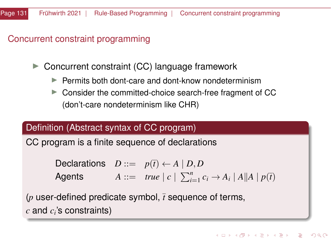# Concurrent constraint programming

 $\triangleright$  Concurrent constraint (CC) language framework

- $\blacktriangleright$  Permits both dont-care and dont-know nondeterminism
- $\triangleright$  Consider the committed-choice search-free fragment of CC (don't-care nondeterminism like CHR)

#### Definition (Abstract syntax of CC program)

CC program is a finite sequence of declarations

Declarations  $D ::= p(\bar{t}) \leftarrow A | D, D$ Agents  $A ::= true \mid c \mid \sum_{i=1}^{n} c_i \rightarrow A_i \mid A \mid A \mid p(\bar{t})$ 

( *user-defined predicate symbol,*  $\bar{t}$  *sequence of terms,*  $c$  and  $c_i$ 's constraints)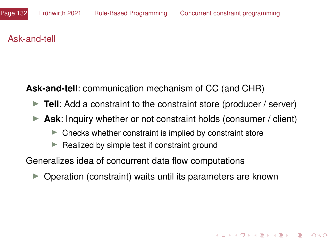### Ask-and-tell

**Ask-and-tell**: communication mechanism of CC (and CHR)

- **Tell:** Add a constraint to the constraint store (producer / server)
- **Ask:** Inquiry whether or not constraint holds (consumer / client)
	- $\blacktriangleright$  Checks whether constraint is implied by constraint store
	- $\blacktriangleright$  Realized by simple test if constraint ground

Generalizes idea of concurrent data flow computations

I Operation (constraint) waits until its parameters are known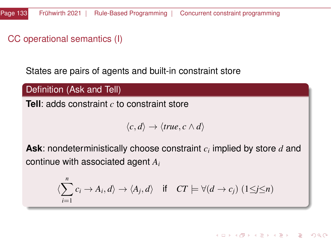# CC operational semantics (I)

States are pairs of agents and built-in constraint store

Definition (Ask and Tell)

**Tell**: adds constraint *c* to constraint store

$$
\langle c, d \rangle \rightarrow \langle true, c \wedge d \rangle
$$

**Ask**: nondeterministically choose constraint *c<sup>i</sup>* implied by store *d* and continue with associated agent *A<sup>i</sup>*

$$
\langle \sum_{i=1}^{n} c_i \to A_i, d \rangle \to \langle A_j, d \rangle \quad \text{if} \quad CT \models \forall (d \to c_j) \ (1 \leq j \leq n)
$$

イロト イ押 トイヨ トイヨト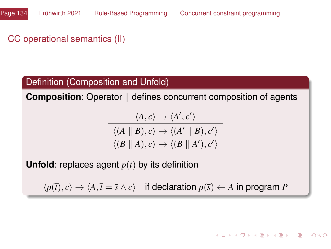# CC operational semantics (II)

#### Definition (Composition and Unfold)

**Composition**: Operator || defines concurrent composition of agents

$$
\langle A, c \rangle \rightarrow \langle A', c' \rangle
$$
  

$$
\langle (A \parallel B), c \rangle \rightarrow \langle (A' \parallel B), c' \rangle
$$
  

$$
\langle (B \parallel A), c \rangle \rightarrow \langle (B \parallel A'), c' \rangle
$$

**Unfold**: replaces agent  $p(\bar{t})$  by its definition

 $\langle p(\overline{t}), c \rangle \rightarrow \langle A, \overline{t} = \overline{s} \wedge c \rangle$  if declaration  $p(\overline{s}) \leftarrow A$  in program *P*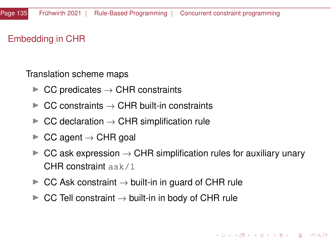## Embedding in CHR

Translation scheme maps

- $\triangleright$  CC predicates  $\rightarrow$  CHR constraints
- $\triangleright$  CC constraints  $\rightarrow$  CHR built-in constraints
- $\triangleright$  CC declaration  $\rightarrow$  CHR simplification rule
- $\triangleright$  CC agent  $\rightarrow$  CHR goal
- $\triangleright$  CC ask expression  $\rightarrow$  CHR simplification rules for auxiliary unary CHR constraint ask/1
- $\triangleright$  CC Ask constraint  $\rightarrow$  built-in in guard of CHR rule
- $\blacktriangleright$  CC Tell constraint  $\rightarrow$  built-in in body of CHR rule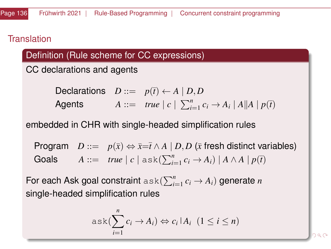#### **Translation**

# Definition (Rule scheme for CC expressions)

CC declarations and agents

| Declarations | $D ::= p(\bar{t}) \leftarrow A \mid D, D$                                                 |
|--------------|-------------------------------------------------------------------------------------------|
| Agents       | $A ::= true \mid c \mid \sum_{i=1}^{n} c_i \rightarrow A_i \mid A \mid A \mid p(\bar{t})$ |

embedded in CHR with single-headed simplification rules

Program  $D ::= p(\bar{x}) \Leftrightarrow \bar{x} = \bar{t} \wedge A \mid D, D$  ( $\bar{x}$  fresh distinct variables) Goals  $A ::= true \mid c \mid \text{ask}(\sum_{i=1}^{n} c_i \rightarrow A_i) \mid A \land A \mid p(\overline{t})$ 

For each Ask goal constraint  $\text{ask}(\sum_{i=1}^{n}c_{i}\rightarrow A_{i})$  generate  $n$ single-headed simplification rules

$$
ask(\sum_{i=1}^{n} c_i \rightarrow A_i) \Leftrightarrow c_i | A_i \ (1 \leq i \leq n)
$$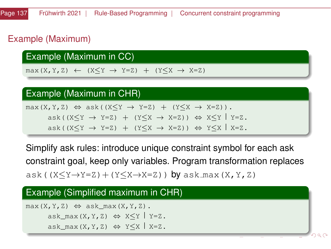# Example (Maximum)

Example (Maximum in CC)

 $max(X, Y, Z) \leftarrow (X \leq Y \rightarrow Y = Z) + (Y \leq X \rightarrow X = Z)$ 

#### Example (Maximum in CHR)

 $max(X, Y, Z) \Leftrightarrow ask((X \leq Y \rightarrow Y=Z) + (Y \leq X \rightarrow X=Z)).$  $ask((X\leq Y \rightarrow Y=Z) + (Y\leq X \rightarrow X=Z)) \Leftrightarrow X\leq Y \mid Y=Z$ . ask((X $\leq Y \rightarrow Y=Z$ ) + (Y $\leq X \rightarrow X=Z$ ))  $\Leftrightarrow Y \leq X \mid X=Z$ .

Simplify ask rules: introduce unique constraint symbol for each ask constraint goal, keep only variables. Program transformation replaces ask( $(X \leq Y \rightarrow Y=Z) + (Y \leq X \rightarrow X=Z)$ ) by ask max(X, Y, Z)

#### Example (Simplified maximum in CHR)

 $max(X, Y, Z) \Leftrightarrow askmax(X, Y, Z)$ . ask max(X, Y, Z)  $\Leftrightarrow$  X  $\lt Y$  Y=Z. ask max $(X, Y, Z) \Leftrightarrow Y\leq X \mid X=Z$ .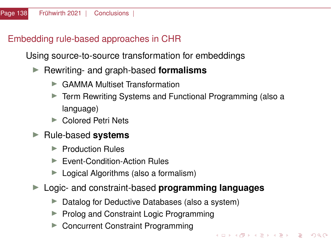# <span id="page-137-0"></span>Embedding rule-based approaches in CHR

Using source-to-source transformation for embeddings

- ▶ Rewriting- and graph-based **formalisms** 
	- ▶ GAMMA Multiset Transformation
	- Term Rewriting Systems and Functional Programming (also a language)

KED KARD KED KED A BLADA

- ▶ Colored Petri Nets
- ▶ Rule-based **systems** 
	- $\blacktriangleright$  Production Rules
	- ▶ Event-Condition-Action Rules
	- $\blacktriangleright$  Logical Algorithms (also a formalism)
- ▶ Logic- and constraint-based **programming languages** 
	- $\triangleright$  Datalog for Deductive Databases (also a system)
	- ▶ Prolog and Constraint Logic Programming
	- ▶ Concurrent Constraint Programming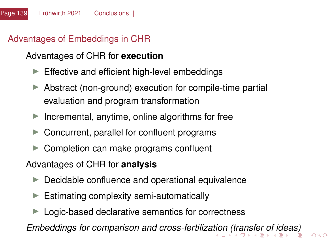# <span id="page-138-0"></span>Advantages of Embeddings in CHR

# Advantages of CHR for **execution**

- $\blacktriangleright$  Effective and efficient high-level embeddings
- $\triangleright$  Abstract (non-ground) execution for compile-time partial evaluation and program transformation
- Incremental, anytime, online algorithms for free
- $\blacktriangleright$  Concurrent, parallel for confluent programs
- $\triangleright$  Completion can make programs confluent

# Advantages of CHR for **analysis**

- $\blacktriangleright$  Decidable confluence and operational equivalence
- $\blacktriangleright$  Estimating complexity semi-automatically
- $\blacktriangleright$  Logic-based declarative semantics for correctness

*Embeddings for comparison and cross-fertiliza[tio](#page-137-0)[n \(](#page-139-0)[tr](#page-137-0)[an](#page-138-0)[s](#page-139-0)[f](#page-47-0)[e](#page-48-0)[r o](#page-143-0)[f id](#page-0-0)[e](#page-143-0)[as\)](#page-0-0)*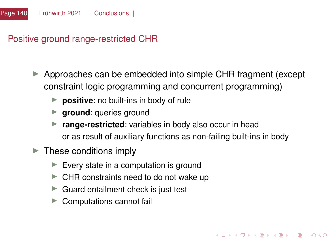<span id="page-139-0"></span>Positive ground range-restricted CHR

- Approaches can be embedded into simple CHR fragment (except constraint logic programming and concurrent programming)
	- **P positive**: no built-ins in body of rule
	- **In ground**: queries ground
	- **P** range-restricted: variables in body also occur in head or as result of auxiliary functions as non-failing built-ins in body
- $\blacktriangleright$  These conditions imply
	- $\blacktriangleright$  Every state in a computation is ground
	- $\blacktriangleright$  CHR constraints need to do not wake up
	- $\blacktriangleright$  Guard entailment check is just test
	- Computations cannot fail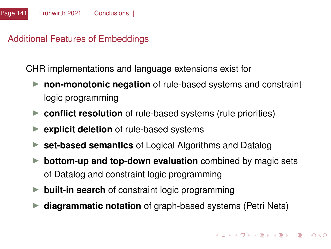# Additional Features of Embeddings

CHR implementations and language extensions exist for

- **non-monotonic negation** of rule-based systems and constraint logic programming
- **Conflict resolution** of rule-based systems (rule priorities)
- **explicit deletion** of rule-based systems
- **set-based semantics** of Logical Algorithms and Datalog
- **bottom-up and top-down evaluation** combined by magic sets of Datalog and constraint logic programming
- **built-in search** of constraint logic programming
- **diagrammatic notation** of graph-based systems (Petri Nets)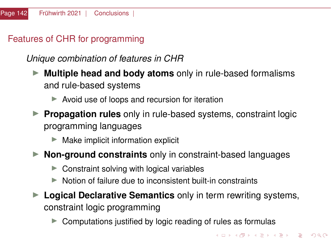# Features of CHR for programming

*Unique combination of features in CHR*

- **Multiple head and body atoms** only in rule-based formalisms and rule-based systems
	- $\blacktriangleright$  Avoid use of loops and recursion for iteration
- **Propagation rules** only in rule-based systems, constraint logic programming languages
	- $\blacktriangleright$  Make implicit information explicit
- **Non-ground constraints** only in constraint-based languages
	- $\triangleright$  Constraint solving with logical variables
	- $\blacktriangleright$  Notion of failure due to inconsistent built-in constraints
- **Example 2 Logical Declarative Semantics** only in term rewriting systems, constraint logic programming
	- $\triangleright$  Computations justified by logic reading of rules as formulas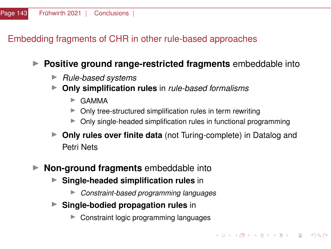# Embedding fragments of CHR in other rule-based approaches

# **Positive ground range-restricted fragments** embeddable into

- I *Rule-based systems*
- I **Only simplification rules** in *rule-based formalisms*
	- $\triangleright$  GAMMA
	- $\triangleright$  Only tree-structured simplification rules in term rewriting
	- Only single-headed simplification rules in functional programming
- **Only rules over finite data** (not Turing-complete) in Datalog and Petri Nets
- **Non-ground fragments** embeddable into
	- **F** Single-headed simplification rules in
		- I *Constraint-based programming languages*
	- **F** Single-bodied propagation rules in
		- Constraint logic programming languages